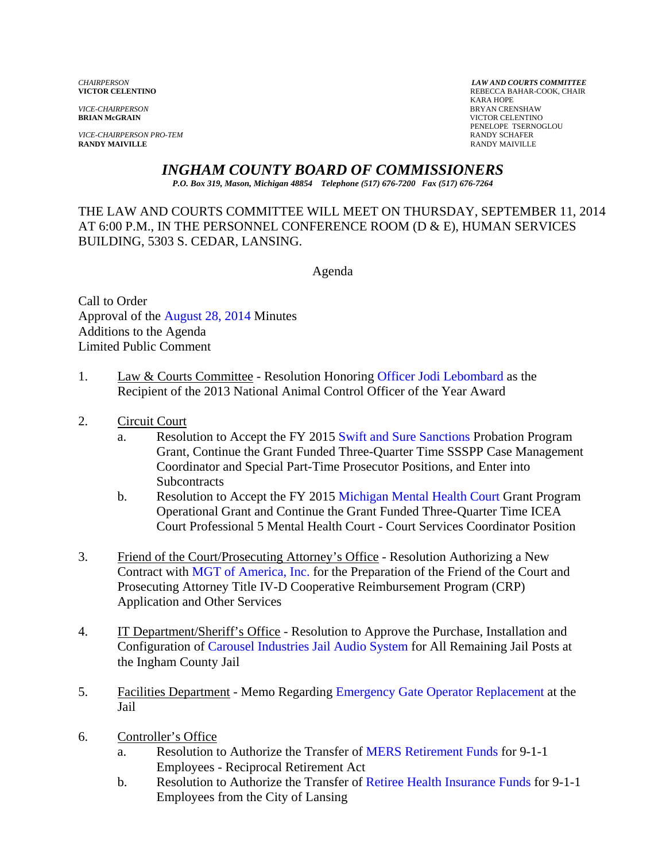*VICE-CHAIRPERSON* BRYAN CRENSHAW

*VICE-CHAIRPERSON PRO-TEM* **RANDY SCHAFER RANDY SCHAFER RANDY SCHAFER RANDY SCHAFER RANDY MAIVILLE RANDY MAIVILLE** RANDY MAIVILLE

*CHAIRPERSON LAW AND COURTS COMMITTEE* REBECCA BAHAR-COOK, CHAIR<br>KARA HOPE KARA HOPE **VICTOR CELENTINO** PENELOPE TSERNOGLOU

#### *INGHAM COUNTY BOARD OF COMMISSIONERS*

*P.O. Box 319, Mason, Michigan 48854 Telephone (517) 676-7200 Fax (517) 676-7264*

THE LAW AND COURTS COMMITTEE WILL MEET ON THURSDAY, SEPTEMBER 11, 2014 AT 6:00 P.M., IN THE PERSONNEL CONFERENCE ROOM (D & E), HUMAN SERVICES BUILDING, 5303 S. CEDAR, LANSING.

Agenda

Call to Order Approval o[f the August 28, 2014 Minutes](#page-2-0)  Additions to the Agenda Limited Public Comment

- 1. Law & Courts Committee Resolution Honori[ng Officer Jodi Lebombard as the](#page-15-0)  Recipient of the 2013 National Animal Control Officer of the Year Award
- 2. Circuit Court
	- a. Resolution to Accept the FY 20[15 Swift and Sure Sanctions Probation P](#page-17-0)rogram Grant, Continue the Grant Funded Three-Quarter Time SSSPP Case Management Coordinator and Special Part-Time Prosecutor Positions, and Enter into **Subcontracts**
	- b. Resolution to Accept the FY 2[015 Michigan Mental Health Court Grant Prog](#page-20-0)ram Operational Grant and Continue the Grant Funded Three-Quarter Time ICEA Court Professional 5 Mental Health Court - Court Services Coordinator Position
- 3. Friend of the Court/Prosecuting Attorney's Office Resolution Authorizing a New Contract [with MGT of America, Inc. for the](#page-22-0) Preparation of the Friend of the Court and Prosecuting Attorney Title IV-D Cooperative Reimbursement Program (CRP) Application and Other Services
- 4. IT Department/Sheriff's Office Resolution to Approve the Purchase, Installation and Configuratio[n of Carousel Industries Jail Audio System for All Remainin](#page-24-0)g Jail Posts at the Ingham County Jail
- 5. Facilities Department Memo Regardi[ng Emergency Gate Operator Replacement at the](#page-26-0)  Jail
- 6. Controller's Office
	- a. Resolution to Authorize the Trans[fer of MERS Retirement Funds for 9-1-1](#page-28-0)  Employees - Reciprocal Retirement Act
	- b. Resolution to Authorize the Transfer of [Retiree Health Insurance Funds for 9-1-1](#page-31-0)  Employees from the City of Lansing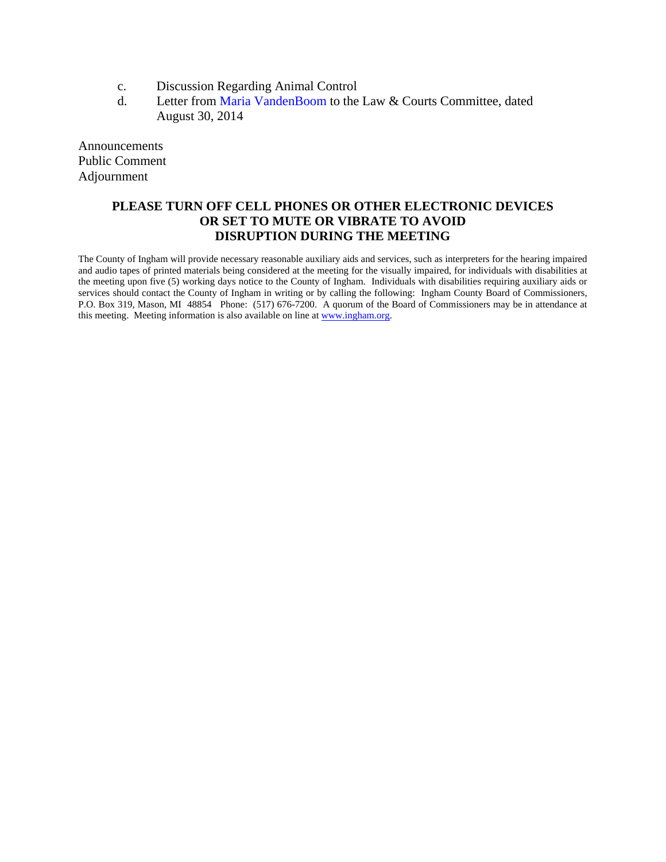- c. Discussion Regarding Animal Control
- d. Letter f[rom Maria VandenBoom to the Law &](#page-32-0) Courts Committee, dated August 30, 2014

Announcements Public Comment Adjournment

#### **PLEASE TURN OFF CELL PHONES OR OTHER ELECTRONIC DEVICES OR SET TO MUTE OR VIBRATE TO AVOID DISRUPTION DURING THE MEETING**

The County of Ingham will provide necessary reasonable auxiliary aids and services, such as interpreters for the hearing impaired and audio tapes of printed materials being considered at the meeting for the visually impaired, for individuals with disabilities at the meeting upon five (5) working days notice to the County of Ingham. Individuals with disabilities requiring auxiliary aids or services should contact the County of Ingham in writing or by calling the following: Ingham County Board of Commissioners, P.O. Box 319, Mason, MI 48854 Phone: (517) 676-7200. A quorum of the Board of Commissioners may be in attendance at this meeting. Meeting information is also available on line at www.ingham.org.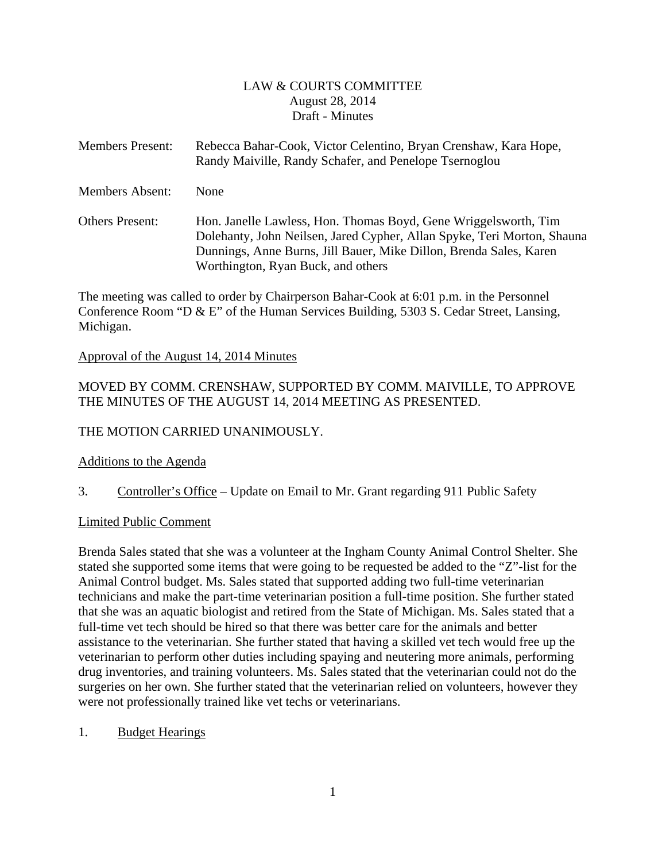#### LAW & COURTS COMMITTEE August 28, 2014 Draft - Minutes

<span id="page-2-0"></span>

| <b>Members Present:</b> | Rebecca Bahar-Cook, Victor Celentino, Bryan Crenshaw, Kara Hope,<br>Randy Maiville, Randy Schafer, and Penelope Tsernoglou                                                                                                                             |
|-------------------------|--------------------------------------------------------------------------------------------------------------------------------------------------------------------------------------------------------------------------------------------------------|
| <b>Members Absent:</b>  | <b>None</b>                                                                                                                                                                                                                                            |
| <b>Others Present:</b>  | Hon. Janelle Lawless, Hon. Thomas Boyd, Gene Wriggelsworth, Tim<br>Dolehanty, John Neilsen, Jared Cypher, Allan Spyke, Teri Morton, Shauna<br>Dunnings, Anne Burns, Jill Bauer, Mike Dillon, Brenda Sales, Karen<br>Worthington, Ryan Buck, and others |

The meeting was called to order by Chairperson Bahar-Cook at 6:01 p.m. in the Personnel Conference Room "D & E" of the Human Services Building, 5303 S. Cedar Street, Lansing, Michigan.

#### Approval of the August 14, 2014 Minutes

#### MOVED BY COMM. CRENSHAW, SUPPORTED BY COMM. MAIVILLE, TO APPROVE THE MINUTES OF THE AUGUST 14, 2014 MEETING AS PRESENTED.

#### THE MOTION CARRIED UNANIMOUSLY.

#### Additions to the Agenda

3. Controller's Office – Update on Email to Mr. Grant regarding 911 Public Safety

#### Limited Public Comment

Brenda Sales stated that she was a volunteer at the Ingham County Animal Control Shelter. She stated she supported some items that were going to be requested be added to the "Z"-list for the Animal Control budget. Ms. Sales stated that supported adding two full-time veterinarian technicians and make the part-time veterinarian position a full-time position. She further stated that she was an aquatic biologist and retired from the State of Michigan. Ms. Sales stated that a full-time vet tech should be hired so that there was better care for the animals and better assistance to the veterinarian. She further stated that having a skilled vet tech would free up the veterinarian to perform other duties including spaying and neutering more animals, performing drug inventories, and training volunteers. Ms. Sales stated that the veterinarian could not do the surgeries on her own. She further stated that the veterinarian relied on volunteers, however they were not professionally trained like vet techs or veterinarians.

#### 1. Budget Hearings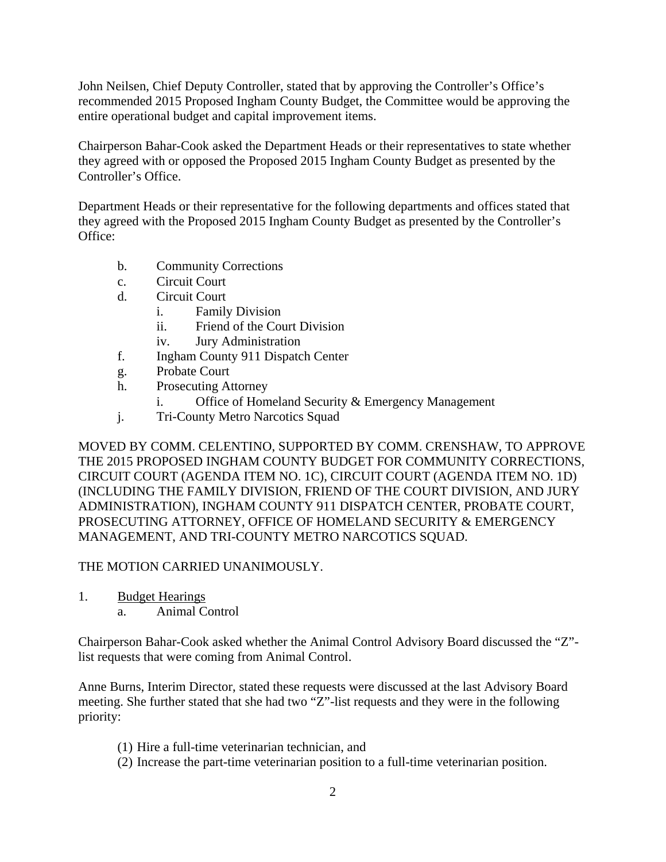John Neilsen, Chief Deputy Controller, stated that by approving the Controller's Office's recommended 2015 Proposed Ingham County Budget, the Committee would be approving the entire operational budget and capital improvement items.

Chairperson Bahar-Cook asked the Department Heads or their representatives to state whether they agreed with or opposed the Proposed 2015 Ingham County Budget as presented by the Controller's Office.

Department Heads or their representative for the following departments and offices stated that they agreed with the Proposed 2015 Ingham County Budget as presented by the Controller's Office:

- b. Community Corrections
- c. Circuit Court
- d. Circuit Court
	- i. Family Division
	- ii. Friend of the Court Division
	- iv. Jury Administration
- f. Ingham County 911 Dispatch Center
- g. Probate Court
- h. Prosecuting Attorney
	- i. Office of Homeland Security & Emergency Management
- j. Tri-County Metro Narcotics Squad

MOVED BY COMM. CELENTINO, SUPPORTED BY COMM. CRENSHAW, TO APPROVE THE 2015 PROPOSED INGHAM COUNTY BUDGET FOR COMMUNITY CORRECTIONS, CIRCUIT COURT (AGENDA ITEM NO. 1C), CIRCUIT COURT (AGENDA ITEM NO. 1D) (INCLUDING THE FAMILY DIVISION, FRIEND OF THE COURT DIVISION, AND JURY ADMINISTRATION), INGHAM COUNTY 911 DISPATCH CENTER, PROBATE COURT, PROSECUTING ATTORNEY, OFFICE OF HOMELAND SECURITY & EMERGENCY MANAGEMENT, AND TRI-COUNTY METRO NARCOTICS SQUAD.

#### THE MOTION CARRIED UNANIMOUSLY.

- 1. Budget Hearings
	- a. Animal Control

Chairperson Bahar-Cook asked whether the Animal Control Advisory Board discussed the "Z" list requests that were coming from Animal Control.

Anne Burns, Interim Director, stated these requests were discussed at the last Advisory Board meeting. She further stated that she had two "Z"-list requests and they were in the following priority:

- (1) Hire a full-time veterinarian technician, and
- (2) Increase the part-time veterinarian position to a full-time veterinarian position.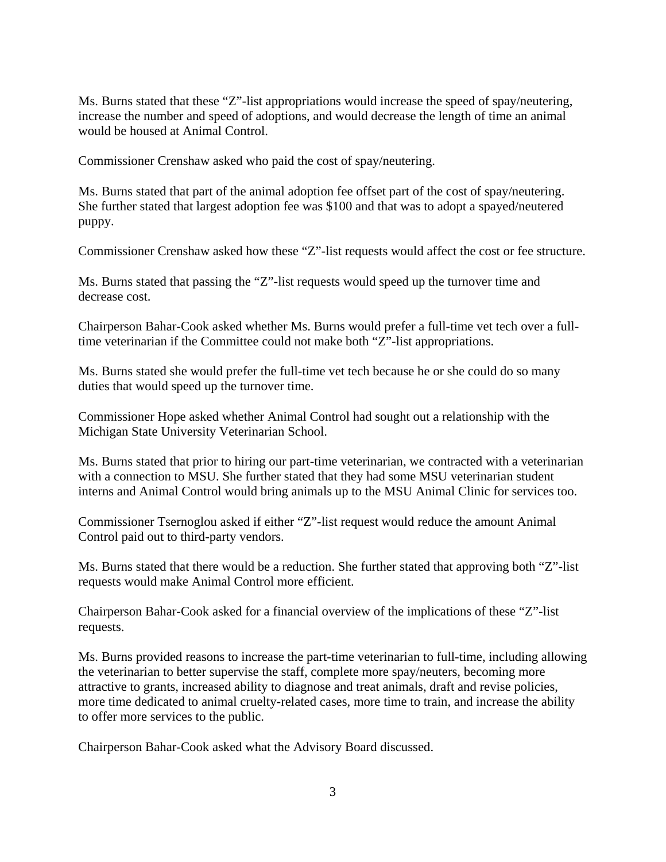Ms. Burns stated that these "Z"-list appropriations would increase the speed of spay/neutering, increase the number and speed of adoptions, and would decrease the length of time an animal would be housed at Animal Control.

Commissioner Crenshaw asked who paid the cost of spay/neutering.

Ms. Burns stated that part of the animal adoption fee offset part of the cost of spay/neutering. She further stated that largest adoption fee was \$100 and that was to adopt a spayed/neutered puppy.

Commissioner Crenshaw asked how these "Z"-list requests would affect the cost or fee structure.

Ms. Burns stated that passing the "Z"-list requests would speed up the turnover time and decrease cost.

Chairperson Bahar-Cook asked whether Ms. Burns would prefer a full-time vet tech over a fulltime veterinarian if the Committee could not make both "Z"-list appropriations.

Ms. Burns stated she would prefer the full-time vet tech because he or she could do so many duties that would speed up the turnover time.

Commissioner Hope asked whether Animal Control had sought out a relationship with the Michigan State University Veterinarian School.

Ms. Burns stated that prior to hiring our part-time veterinarian, we contracted with a veterinarian with a connection to MSU. She further stated that they had some MSU veterinarian student interns and Animal Control would bring animals up to the MSU Animal Clinic for services too.

Commissioner Tsernoglou asked if either "Z"-list request would reduce the amount Animal Control paid out to third-party vendors.

Ms. Burns stated that there would be a reduction. She further stated that approving both "Z"-list requests would make Animal Control more efficient.

Chairperson Bahar-Cook asked for a financial overview of the implications of these "Z"-list requests.

Ms. Burns provided reasons to increase the part-time veterinarian to full-time, including allowing the veterinarian to better supervise the staff, complete more spay/neuters, becoming more attractive to grants, increased ability to diagnose and treat animals, draft and revise policies, more time dedicated to animal cruelty-related cases, more time to train, and increase the ability to offer more services to the public.

Chairperson Bahar-Cook asked what the Advisory Board discussed.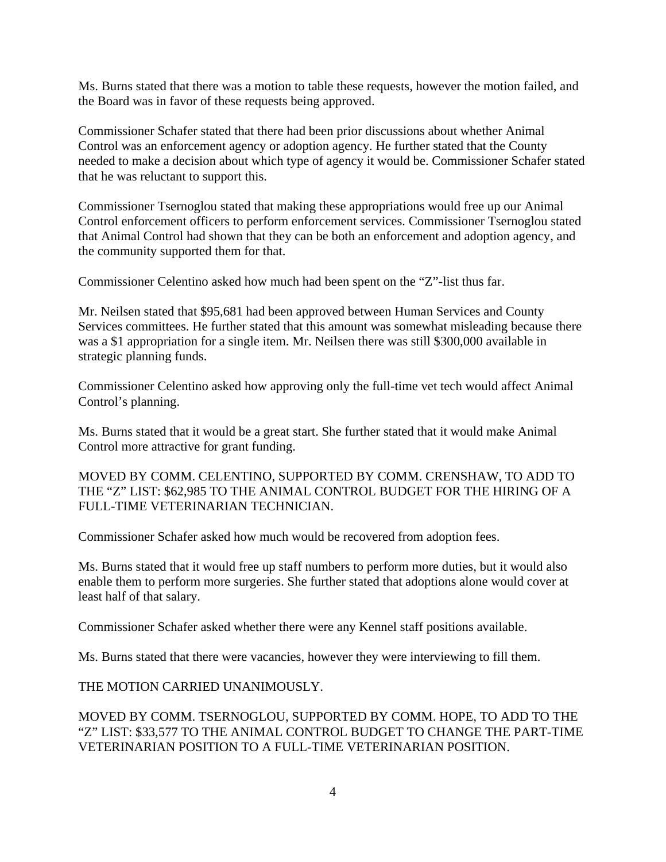Ms. Burns stated that there was a motion to table these requests, however the motion failed, and the Board was in favor of these requests being approved.

Commissioner Schafer stated that there had been prior discussions about whether Animal Control was an enforcement agency or adoption agency. He further stated that the County needed to make a decision about which type of agency it would be. Commissioner Schafer stated that he was reluctant to support this.

Commissioner Tsernoglou stated that making these appropriations would free up our Animal Control enforcement officers to perform enforcement services. Commissioner Tsernoglou stated that Animal Control had shown that they can be both an enforcement and adoption agency, and the community supported them for that.

Commissioner Celentino asked how much had been spent on the "Z"-list thus far.

Mr. Neilsen stated that \$95,681 had been approved between Human Services and County Services committees. He further stated that this amount was somewhat misleading because there was a \$1 appropriation for a single item. Mr. Neilsen there was still \$300,000 available in strategic planning funds.

Commissioner Celentino asked how approving only the full-time vet tech would affect Animal Control's planning.

Ms. Burns stated that it would be a great start. She further stated that it would make Animal Control more attractive for grant funding.

MOVED BY COMM. CELENTINO, SUPPORTED BY COMM. CRENSHAW, TO ADD TO THE "Z" LIST: \$62,985 TO THE ANIMAL CONTROL BUDGET FOR THE HIRING OF A FULL-TIME VETERINARIAN TECHNICIAN.

Commissioner Schafer asked how much would be recovered from adoption fees.

Ms. Burns stated that it would free up staff numbers to perform more duties, but it would also enable them to perform more surgeries. She further stated that adoptions alone would cover at least half of that salary.

Commissioner Schafer asked whether there were any Kennel staff positions available.

Ms. Burns stated that there were vacancies, however they were interviewing to fill them.

THE MOTION CARRIED UNANIMOUSLY.

MOVED BY COMM. TSERNOGLOU, SUPPORTED BY COMM. HOPE, TO ADD TO THE "Z" LIST: \$33,577 TO THE ANIMAL CONTROL BUDGET TO CHANGE THE PART-TIME VETERINARIAN POSITION TO A FULL-TIME VETERINARIAN POSITION.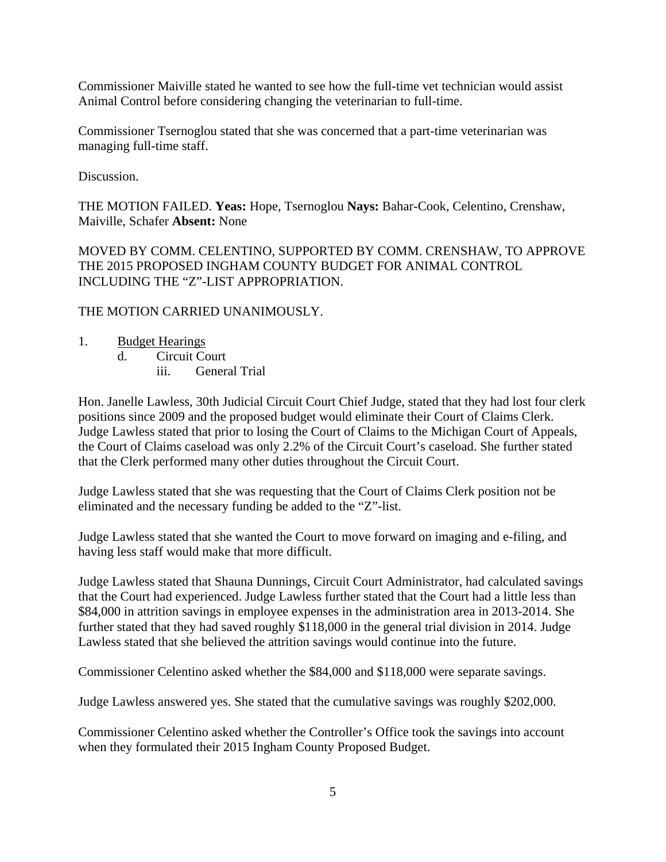Commissioner Maiville stated he wanted to see how the full-time vet technician would assist Animal Control before considering changing the veterinarian to full-time.

Commissioner Tsernoglou stated that she was concerned that a part-time veterinarian was managing full-time staff.

Discussion.

THE MOTION FAILED. **Yeas:** Hope, Tsernoglou **Nays:** Bahar-Cook, Celentino, Crenshaw, Maiville, Schafer **Absent:** None

MOVED BY COMM. CELENTINO, SUPPORTED BY COMM. CRENSHAW, TO APPROVE THE 2015 PROPOSED INGHAM COUNTY BUDGET FOR ANIMAL CONTROL INCLUDING THE "Z"-LIST APPROPRIATION.

#### THE MOTION CARRIED UNANIMOUSLY.

- 1. Budget Hearings
	- d. Circuit Court iii. General Trial

Hon. Janelle Lawless, 30th Judicial Circuit Court Chief Judge, stated that they had lost four clerk positions since 2009 and the proposed budget would eliminate their Court of Claims Clerk. Judge Lawless stated that prior to losing the Court of Claims to the Michigan Court of Appeals, the Court of Claims caseload was only 2.2% of the Circuit Court's caseload. She further stated that the Clerk performed many other duties throughout the Circuit Court.

Judge Lawless stated that she was requesting that the Court of Claims Clerk position not be eliminated and the necessary funding be added to the "Z"-list.

Judge Lawless stated that she wanted the Court to move forward on imaging and e-filing, and having less staff would make that more difficult.

Judge Lawless stated that Shauna Dunnings, Circuit Court Administrator, had calculated savings that the Court had experienced. Judge Lawless further stated that the Court had a little less than \$84,000 in attrition savings in employee expenses in the administration area in 2013-2014. She further stated that they had saved roughly \$118,000 in the general trial division in 2014. Judge Lawless stated that she believed the attrition savings would continue into the future.

Commissioner Celentino asked whether the \$84,000 and \$118,000 were separate savings.

Judge Lawless answered yes. She stated that the cumulative savings was roughly \$202,000.

Commissioner Celentino asked whether the Controller's Office took the savings into account when they formulated their 2015 Ingham County Proposed Budget.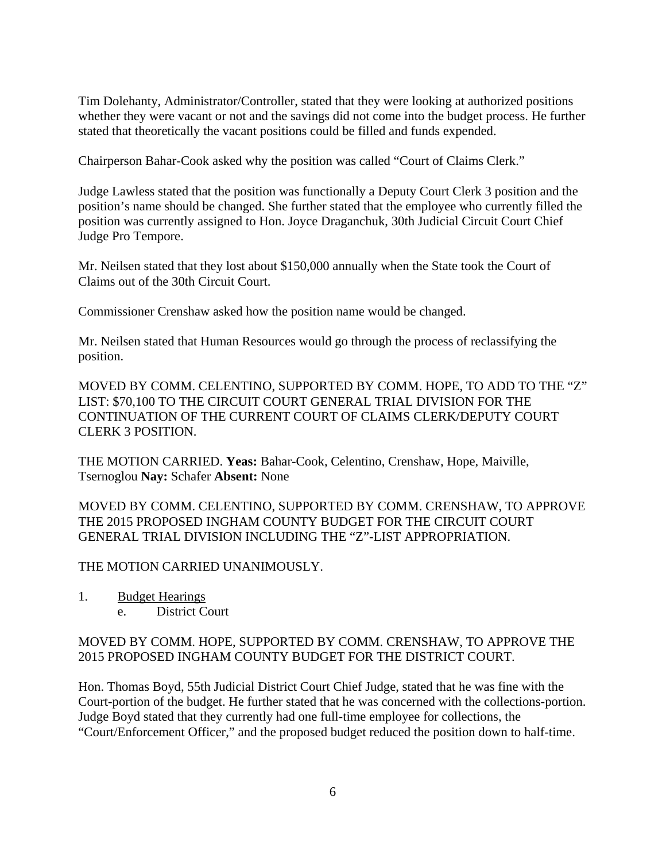Tim Dolehanty, Administrator/Controller, stated that they were looking at authorized positions whether they were vacant or not and the savings did not come into the budget process. He further stated that theoretically the vacant positions could be filled and funds expended.

Chairperson Bahar-Cook asked why the position was called "Court of Claims Clerk."

Judge Lawless stated that the position was functionally a Deputy Court Clerk 3 position and the position's name should be changed. She further stated that the employee who currently filled the position was currently assigned to Hon. Joyce Draganchuk, 30th Judicial Circuit Court Chief Judge Pro Tempore.

Mr. Neilsen stated that they lost about \$150,000 annually when the State took the Court of Claims out of the 30th Circuit Court.

Commissioner Crenshaw asked how the position name would be changed.

Mr. Neilsen stated that Human Resources would go through the process of reclassifying the position.

MOVED BY COMM. CELENTINO, SUPPORTED BY COMM. HOPE, TO ADD TO THE "Z" LIST: \$70,100 TO THE CIRCUIT COURT GENERAL TRIAL DIVISION FOR THE CONTINUATION OF THE CURRENT COURT OF CLAIMS CLERK/DEPUTY COURT CLERK 3 POSITION.

THE MOTION CARRIED. **Yeas:** Bahar-Cook, Celentino, Crenshaw, Hope, Maiville, Tsernoglou **Nay:** Schafer **Absent:** None

MOVED BY COMM. CELENTINO, SUPPORTED BY COMM. CRENSHAW, TO APPROVE THE 2015 PROPOSED INGHAM COUNTY BUDGET FOR THE CIRCUIT COURT GENERAL TRIAL DIVISION INCLUDING THE "Z"-LIST APPROPRIATION.

THE MOTION CARRIED UNANIMOUSLY.

- 1. Budget Hearings
	- e. District Court

#### MOVED BY COMM. HOPE, SUPPORTED BY COMM. CRENSHAW, TO APPROVE THE 2015 PROPOSED INGHAM COUNTY BUDGET FOR THE DISTRICT COURT.

Hon. Thomas Boyd, 55th Judicial District Court Chief Judge, stated that he was fine with the Court-portion of the budget. He further stated that he was concerned with the collections-portion. Judge Boyd stated that they currently had one full-time employee for collections, the "Court/Enforcement Officer," and the proposed budget reduced the position down to half-time.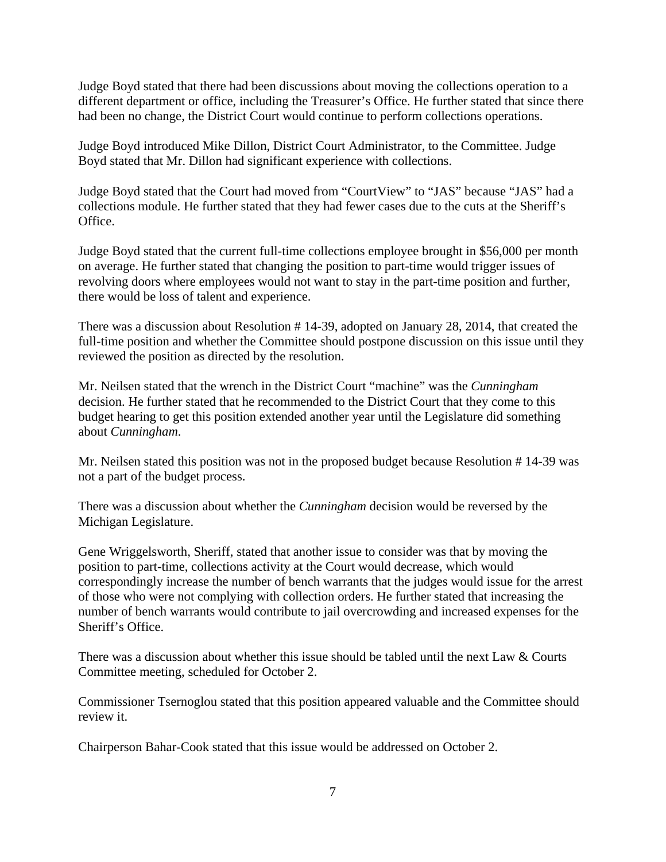Judge Boyd stated that there had been discussions about moving the collections operation to a different department or office, including the Treasurer's Office. He further stated that since there had been no change, the District Court would continue to perform collections operations.

Judge Boyd introduced Mike Dillon, District Court Administrator, to the Committee. Judge Boyd stated that Mr. Dillon had significant experience with collections.

Judge Boyd stated that the Court had moved from "CourtView" to "JAS" because "JAS" had a collections module. He further stated that they had fewer cases due to the cuts at the Sheriff's Office.

Judge Boyd stated that the current full-time collections employee brought in \$56,000 per month on average. He further stated that changing the position to part-time would trigger issues of revolving doors where employees would not want to stay in the part-time position and further, there would be loss of talent and experience.

There was a discussion about Resolution # 14-39, adopted on January 28, 2014, that created the full-time position and whether the Committee should postpone discussion on this issue until they reviewed the position as directed by the resolution.

Mr. Neilsen stated that the wrench in the District Court "machine" was the *Cunningham* decision. He further stated that he recommended to the District Court that they come to this budget hearing to get this position extended another year until the Legislature did something about *Cunningham*.

Mr. Neilsen stated this position was not in the proposed budget because Resolution # 14-39 was not a part of the budget process.

There was a discussion about whether the *Cunningham* decision would be reversed by the Michigan Legislature.

Gene Wriggelsworth, Sheriff, stated that another issue to consider was that by moving the position to part-time, collections activity at the Court would decrease, which would correspondingly increase the number of bench warrants that the judges would issue for the arrest of those who were not complying with collection orders. He further stated that increasing the number of bench warrants would contribute to jail overcrowding and increased expenses for the Sheriff's Office.

There was a discussion about whether this issue should be tabled until the next Law & Courts Committee meeting, scheduled for October 2.

Commissioner Tsernoglou stated that this position appeared valuable and the Committee should review it.

Chairperson Bahar-Cook stated that this issue would be addressed on October 2.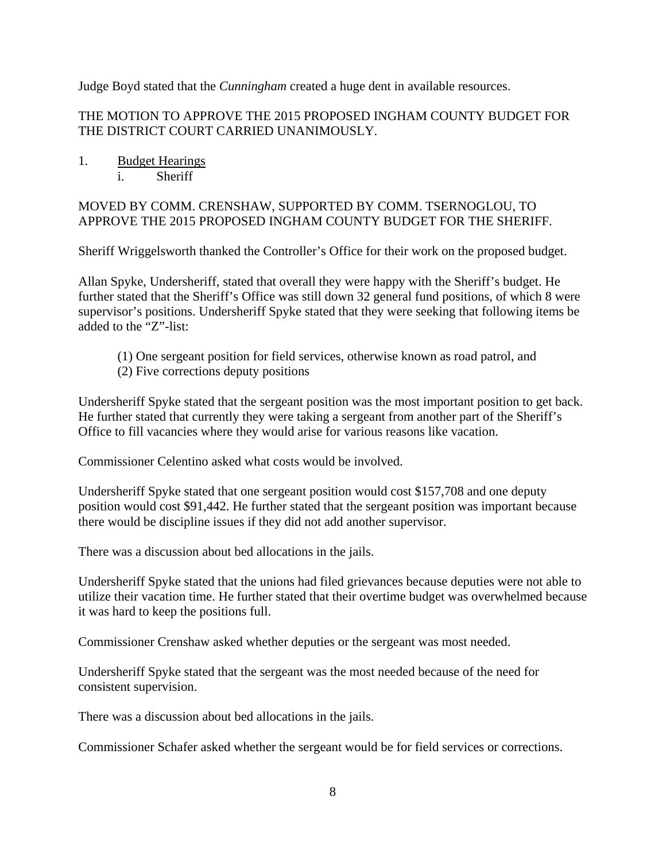Judge Boyd stated that the *Cunningham* created a huge dent in available resources.

#### THE MOTION TO APPROVE THE 2015 PROPOSED INGHAM COUNTY BUDGET FOR THE DISTRICT COURT CARRIED UNANIMOUSLY.

1. Budget Hearings

i. Sheriff

#### MOVED BY COMM. CRENSHAW, SUPPORTED BY COMM. TSERNOGLOU, TO APPROVE THE 2015 PROPOSED INGHAM COUNTY BUDGET FOR THE SHERIFF.

Sheriff Wriggelsworth thanked the Controller's Office for their work on the proposed budget.

Allan Spyke, Undersheriff, stated that overall they were happy with the Sheriff's budget. He further stated that the Sheriff's Office was still down 32 general fund positions, of which 8 were supervisor's positions. Undersheriff Spyke stated that they were seeking that following items be added to the "Z"-list:

- (1) One sergeant position for field services, otherwise known as road patrol, and
- (2) Five corrections deputy positions

Undersheriff Spyke stated that the sergeant position was the most important position to get back. He further stated that currently they were taking a sergeant from another part of the Sheriff's Office to fill vacancies where they would arise for various reasons like vacation.

Commissioner Celentino asked what costs would be involved.

Undersheriff Spyke stated that one sergeant position would cost \$157,708 and one deputy position would cost \$91,442. He further stated that the sergeant position was important because there would be discipline issues if they did not add another supervisor.

There was a discussion about bed allocations in the jails.

Undersheriff Spyke stated that the unions had filed grievances because deputies were not able to utilize their vacation time. He further stated that their overtime budget was overwhelmed because it was hard to keep the positions full.

Commissioner Crenshaw asked whether deputies or the sergeant was most needed.

Undersheriff Spyke stated that the sergeant was the most needed because of the need for consistent supervision.

There was a discussion about bed allocations in the jails.

Commissioner Schafer asked whether the sergeant would be for field services or corrections.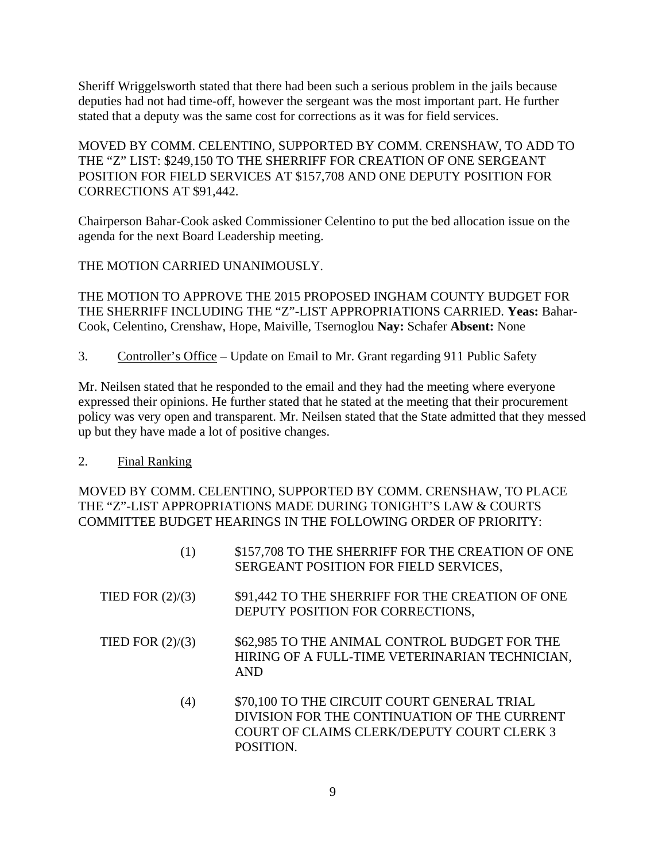Sheriff Wriggelsworth stated that there had been such a serious problem in the jails because deputies had not had time-off, however the sergeant was the most important part. He further stated that a deputy was the same cost for corrections as it was for field services.

MOVED BY COMM. CELENTINO, SUPPORTED BY COMM. CRENSHAW, TO ADD TO THE "Z" LIST: \$249,150 TO THE SHERRIFF FOR CREATION OF ONE SERGEANT POSITION FOR FIELD SERVICES AT \$157,708 AND ONE DEPUTY POSITION FOR CORRECTIONS AT \$91,442.

Chairperson Bahar-Cook asked Commissioner Celentino to put the bed allocation issue on the agenda for the next Board Leadership meeting.

THE MOTION CARRIED UNANIMOUSLY.

THE MOTION TO APPROVE THE 2015 PROPOSED INGHAM COUNTY BUDGET FOR THE SHERRIFF INCLUDING THE "Z"-LIST APPROPRIATIONS CARRIED. **Yeas:** Bahar-Cook, Celentino, Crenshaw, Hope, Maiville, Tsernoglou **Nay:** Schafer **Absent:** None

3. Controller's Office – Update on Email to Mr. Grant regarding 911 Public Safety

Mr. Neilsen stated that he responded to the email and they had the meeting where everyone expressed their opinions. He further stated that he stated at the meeting that their procurement policy was very open and transparent. Mr. Neilsen stated that the State admitted that they messed up but they have made a lot of positive changes.

2. Final Ranking

MOVED BY COMM. CELENTINO, SUPPORTED BY COMM. CRENSHAW, TO PLACE THE "Z"-LIST APPROPRIATIONS MADE DURING TONIGHT'S LAW & COURTS COMMITTEE BUDGET HEARINGS IN THE FOLLOWING ORDER OF PRIORITY:

- (1) \$157,708 TO THE SHERRIFF FOR THE CREATION OF ONE SERGEANT POSITION FOR FIELD SERVICES,
- TIED FOR (2)/(3) \$91,442 TO THE SHERRIFF FOR THE CREATION OF ONE DEPUTY POSITION FOR CORRECTIONS,
- TIED FOR (2)/(3) \$62,985 TO THE ANIMAL CONTROL BUDGET FOR THE HIRING OF A FULL-TIME VETERINARIAN TECHNICIAN, AND
	- (4) \$70,100 TO THE CIRCUIT COURT GENERAL TRIAL DIVISION FOR THE CONTINUATION OF THE CURRENT COURT OF CLAIMS CLERK/DEPUTY COURT CLERK 3 POSITION.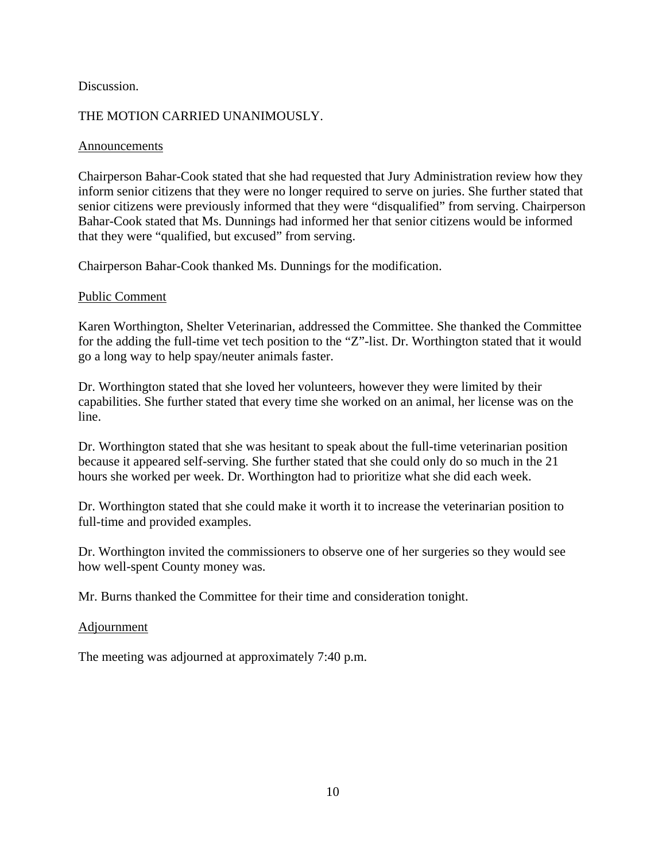#### Discussion.

#### THE MOTION CARRIED UNANIMOUSLY.

#### Announcements

Chairperson Bahar-Cook stated that she had requested that Jury Administration review how they inform senior citizens that they were no longer required to serve on juries. She further stated that senior citizens were previously informed that they were "disqualified" from serving. Chairperson Bahar-Cook stated that Ms. Dunnings had informed her that senior citizens would be informed that they were "qualified, but excused" from serving.

Chairperson Bahar-Cook thanked Ms. Dunnings for the modification.

#### Public Comment

Karen Worthington, Shelter Veterinarian, addressed the Committee. She thanked the Committee for the adding the full-time vet tech position to the "Z"-list. Dr. Worthington stated that it would go a long way to help spay/neuter animals faster.

Dr. Worthington stated that she loved her volunteers, however they were limited by their capabilities. She further stated that every time she worked on an animal, her license was on the line.

Dr. Worthington stated that she was hesitant to speak about the full-time veterinarian position because it appeared self-serving. She further stated that she could only do so much in the 21 hours she worked per week. Dr. Worthington had to prioritize what she did each week.

Dr. Worthington stated that she could make it worth it to increase the veterinarian position to full-time and provided examples.

Dr. Worthington invited the commissioners to observe one of her surgeries so they would see how well-spent County money was.

Mr. Burns thanked the Committee for their time and consideration tonight.

#### **Adjournment**

The meeting was adjourned at approximately 7:40 p.m.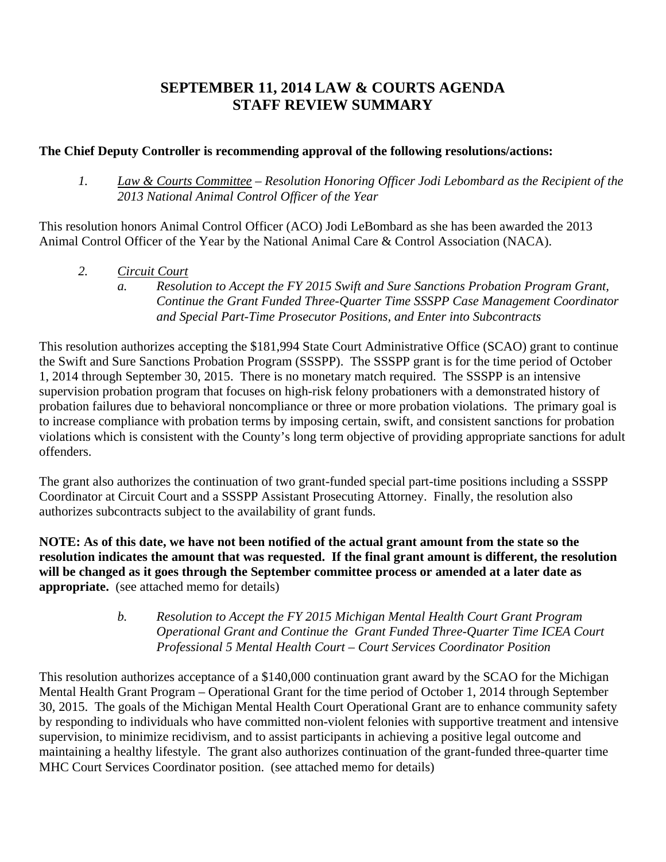### **SEPTEMBER 11, 2014 LAW & COURTS AGENDA STAFF REVIEW SUMMARY**

#### **The Chief Deputy Controller is recommending approval of the following resolutions/actions:**

*1. Law & Courts Committee – Resolution Honoring Officer Jodi Lebombard as the Recipient of the 2013 National Animal Control Officer of the Year* 

This resolution honors Animal Control Officer (ACO) Jodi LeBombard as she has been awarded the 2013 Animal Control Officer of the Year by the National Animal Care & Control Association (NACA).

*2. Circuit Court a. Resolution to Accept the FY 2015 Swift and Sure Sanctions Probation Program Grant, Continue the Grant Funded Three-Quarter Time SSSPP Case Management Coordinator and Special Part-Time Prosecutor Positions, and Enter into Subcontracts* 

This resolution authorizes accepting the \$181,994 State Court Administrative Office (SCAO) grant to continue the Swift and Sure Sanctions Probation Program (SSSPP). The SSSPP grant is for the time period of October 1, 2014 through September 30, 2015. There is no monetary match required. The SSSPP is an intensive supervision probation program that focuses on high-risk felony probationers with a demonstrated history of probation failures due to behavioral noncompliance or three or more probation violations. The primary goal is to increase compliance with probation terms by imposing certain, swift, and consistent sanctions for probation violations which is consistent with the County's long term objective of providing appropriate sanctions for adult offenders.

The grant also authorizes the continuation of two grant-funded special part-time positions including a SSSPP Coordinator at Circuit Court and a SSSPP Assistant Prosecuting Attorney. Finally, the resolution also authorizes subcontracts subject to the availability of grant funds.

**NOTE: As of this date, we have not been notified of the actual grant amount from the state so the resolution indicates the amount that was requested. If the final grant amount is different, the resolution will be changed as it goes through the September committee process or amended at a later date as appropriate.** (see attached memo for details)

> *b. Resolution to Accept the FY 2015 Michigan Mental Health Court Grant Program Operational Grant and Continue the Grant Funded Three-Quarter Time ICEA Court Professional 5 Mental Health Court – Court Services Coordinator Position*

This resolution authorizes acceptance of a \$140,000 continuation grant award by the SCAO for the Michigan Mental Health Grant Program – Operational Grant for the time period of October 1, 2014 through September 30, 2015. The goals of the Michigan Mental Health Court Operational Grant are to enhance community safety by responding to individuals who have committed non-violent felonies with supportive treatment and intensive supervision, to minimize recidivism, and to assist participants in achieving a positive legal outcome and maintaining a healthy lifestyle. The grant also authorizes continuation of the grant-funded three-quarter time MHC Court Services Coordinator position. (see attached memo for details)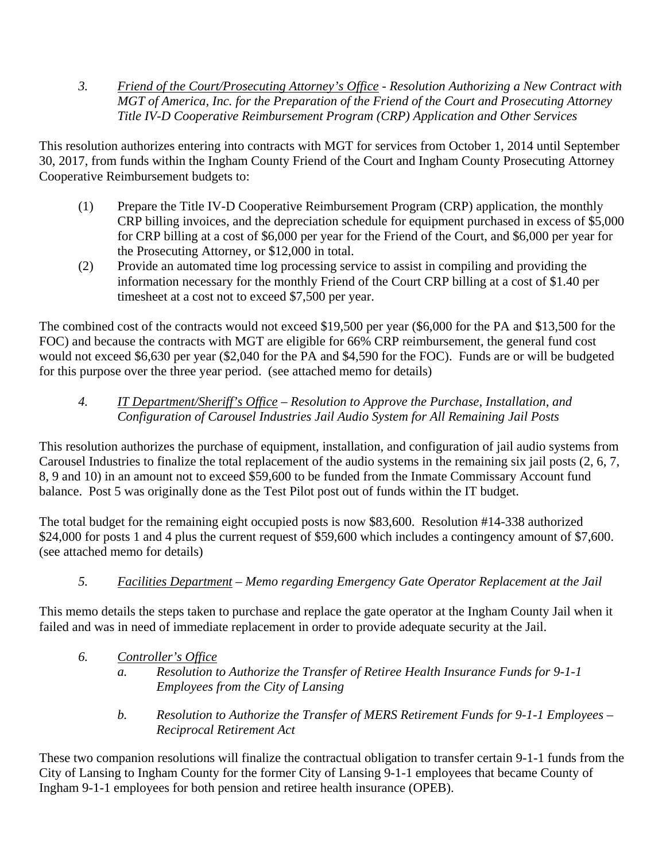*3. Friend of the Court/Prosecuting Attorney's Office - Resolution Authorizing a New Contract with MGT of America, Inc. for the Preparation of the Friend of the Court and Prosecuting Attorney Title IV-D Cooperative Reimbursement Program (CRP) Application and Other Services* 

This resolution authorizes entering into contracts with MGT for services from October 1, 2014 until September 30, 2017, from funds within the Ingham County Friend of the Court and Ingham County Prosecuting Attorney Cooperative Reimbursement budgets to:

- (1) Prepare the Title IV-D Cooperative Reimbursement Program (CRP) application, the monthly CRP billing invoices, and the depreciation schedule for equipment purchased in excess of \$5,000 for CRP billing at a cost of \$6,000 per year for the Friend of the Court, and \$6,000 per year for the Prosecuting Attorney, or \$12,000 in total.
- (2) Provide an automated time log processing service to assist in compiling and providing the information necessary for the monthly Friend of the Court CRP billing at a cost of \$1.40 per timesheet at a cost not to exceed \$7,500 per year.

The combined cost of the contracts would not exceed \$19,500 per year (\$6,000 for the PA and \$13,500 for the FOC) and because the contracts with MGT are eligible for 66% CRP reimbursement, the general fund cost would not exceed \$6,630 per year (\$2,040 for the PA and \$4,590 for the FOC). Funds are or will be budgeted for this purpose over the three year period. (see attached memo for details)

#### *4. IT Department/Sheriff's Office – Resolution to Approve the Purchase, Installation, and Configuration of Carousel Industries Jail Audio System for All Remaining Jail Posts*

This resolution authorizes the purchase of equipment, installation, and configuration of jail audio systems from Carousel Industries to finalize the total replacement of the audio systems in the remaining six jail posts (2, 6, 7, 8, 9 and 10) in an amount not to exceed \$59,600 to be funded from the Inmate Commissary Account fund balance. Post 5 was originally done as the Test Pilot post out of funds within the IT budget.

The total budget for the remaining eight occupied posts is now \$83,600. Resolution #14-338 authorized \$24,000 for posts 1 and 4 plus the current request of \$59,600 which includes a contingency amount of \$7,600. (see attached memo for details)

 *5. Facilities Department – Memo regarding Emergency Gate Operator Replacement at the Jail* 

This memo details the steps taken to purchase and replace the gate operator at the Ingham County Jail when it failed and was in need of immediate replacement in order to provide adequate security at the Jail.

- *6. Controller's Office a. Resolution to Authorize the Transfer of Retiree Health Insurance Funds for 9-1-1 Employees from the City of Lansing* 
	- *b. Resolution to Authorize the Transfer of MERS Retirement Funds for 9-1-1 Employees Reciprocal Retirement Act*

These two companion resolutions will finalize the contractual obligation to transfer certain 9-1-1 funds from the City of Lansing to Ingham County for the former City of Lansing 9-1-1 employees that became County of Ingham 9-1-1 employees for both pension and retiree health insurance (OPEB).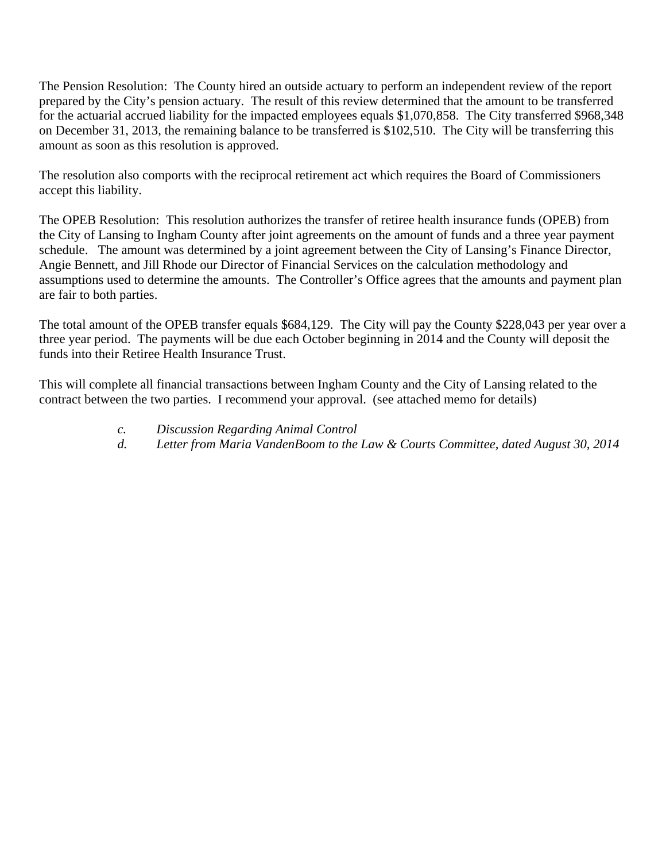The Pension Resolution: The County hired an outside actuary to perform an independent review of the report prepared by the City's pension actuary. The result of this review determined that the amount to be transferred for the actuarial accrued liability for the impacted employees equals \$1,070,858. The City transferred \$968,348 on December 31, 2013, the remaining balance to be transferred is \$102,510. The City will be transferring this amount as soon as this resolution is approved.

The resolution also comports with the reciprocal retirement act which requires the Board of Commissioners accept this liability.

The OPEB Resolution: This resolution authorizes the transfer of retiree health insurance funds (OPEB) from the City of Lansing to Ingham County after joint agreements on the amount of funds and a three year payment schedule. The amount was determined by a joint agreement between the City of Lansing's Finance Director, Angie Bennett, and Jill Rhode our Director of Financial Services on the calculation methodology and assumptions used to determine the amounts. The Controller's Office agrees that the amounts and payment plan are fair to both parties.

The total amount of the OPEB transfer equals \$684,129. The City will pay the County \$228,043 per year over a three year period. The payments will be due each October beginning in 2014 and the County will deposit the funds into their Retiree Health Insurance Trust.

This will complete all financial transactions between Ingham County and the City of Lansing related to the contract between the two parties. I recommend your approval. (see attached memo for details)

- *c. Discussion Regarding Animal Control*
- *d. Letter from Maria VandenBoom to the Law & Courts Committee, dated August 30, 2014*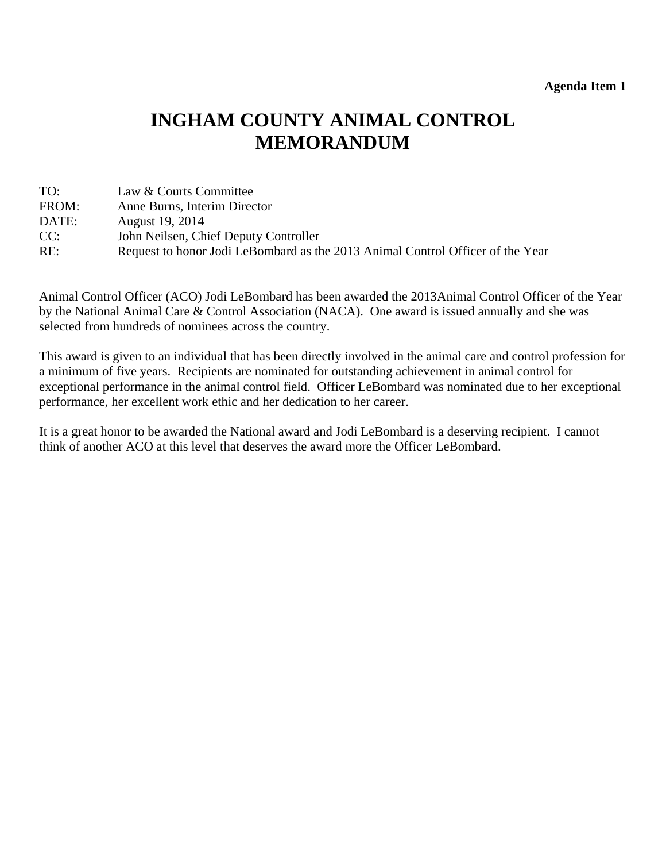#### **Agenda Item 1**

# <span id="page-15-0"></span>**INGHAM COUNTY ANIMAL CONTROL MEMORANDUM**

| TO:   | Law & Courts Committee                                                         |
|-------|--------------------------------------------------------------------------------|
| FROM: | Anne Burns, Interim Director                                                   |
| DATE: | August 19, 2014                                                                |
| CC:   | John Neilsen, Chief Deputy Controller                                          |
| RE:   | Request to honor Jodi LeBombard as the 2013 Animal Control Officer of the Year |

Animal Control Officer (ACO) Jodi LeBombard has been awarded the 2013Animal Control Officer of the Year by the National Animal Care & Control Association (NACA). One award is issued annually and she was selected from hundreds of nominees across the country.

This award is given to an individual that has been directly involved in the animal care and control profession for a minimum of five years. Recipients are nominated for outstanding achievement in animal control for exceptional performance in the animal control field. Officer LeBombard was nominated due to her exceptional performance, her excellent work ethic and her dedication to her career.

It is a great honor to be awarded the National award and Jodi LeBombard is a deserving recipient. I cannot think of another ACO at this level that deserves the award more the Officer LeBombard.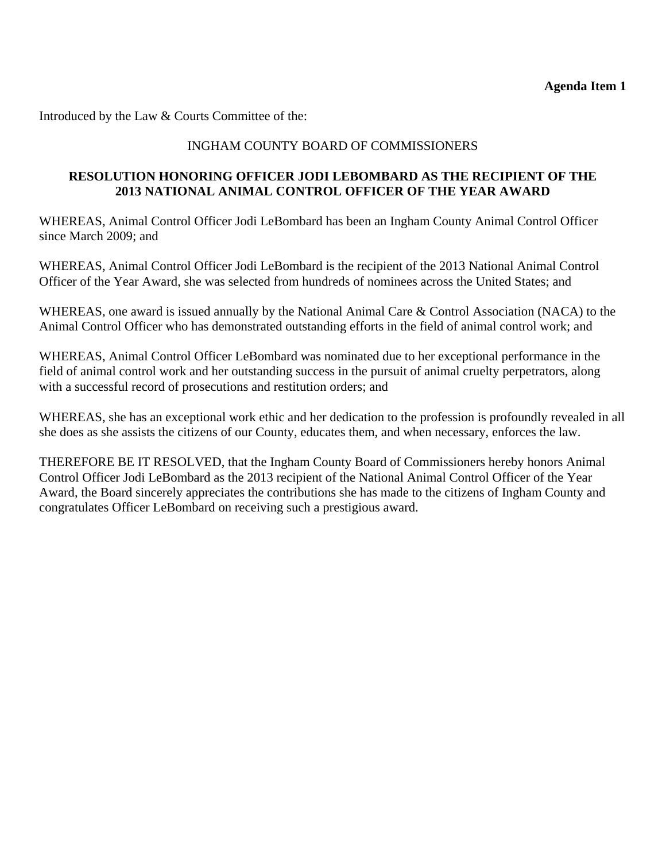**Agenda Item 1** 

Introduced by the Law & Courts Committee of the:

#### INGHAM COUNTY BOARD OF COMMISSIONERS

#### **RESOLUTION HONORING OFFICER JODI LEBOMBARD AS THE RECIPIENT OF THE 2013 NATIONAL ANIMAL CONTROL OFFICER OF THE YEAR AWARD**

WHEREAS, Animal Control Officer Jodi LeBombard has been an Ingham County Animal Control Officer since March 2009; and

WHEREAS, Animal Control Officer Jodi LeBombard is the recipient of the 2013 National Animal Control Officer of the Year Award, she was selected from hundreds of nominees across the United States; and

WHEREAS, one award is issued annually by the National Animal Care & Control Association (NACA) to the Animal Control Officer who has demonstrated outstanding efforts in the field of animal control work; and

WHEREAS, Animal Control Officer LeBombard was nominated due to her exceptional performance in the field of animal control work and her outstanding success in the pursuit of animal cruelty perpetrators, along with a successful record of prosecutions and restitution orders; and

WHEREAS, she has an exceptional work ethic and her dedication to the profession is profoundly revealed in all she does as she assists the citizens of our County, educates them, and when necessary, enforces the law.

THEREFORE BE IT RESOLVED, that the Ingham County Board of Commissioners hereby honors Animal Control Officer Jodi LeBombard as the 2013 recipient of the National Animal Control Officer of the Year Award, the Board sincerely appreciates the contributions she has made to the citizens of Ingham County and congratulates Officer LeBombard on receiving such a prestigious award.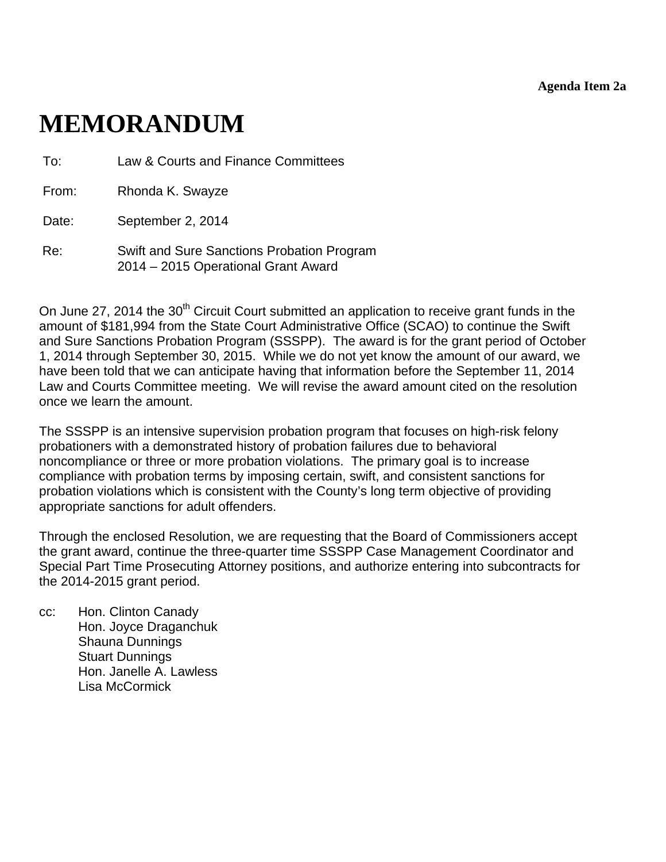**Agenda Item 2a** 

# <span id="page-17-0"></span>**MEMORANDUM**

To: Law & Courts and Finance Committees

From: Rhonda K. Swayze

Date: September 2, 2014

Re: Swift and Sure Sanctions Probation Program 2014 – 2015 Operational Grant Award

On June 27, 2014 the 30<sup>th</sup> Circuit Court submitted an application to receive grant funds in the amount of \$181,994 from the State Court Administrative Office (SCAO) to continue the Swift and Sure Sanctions Probation Program (SSSPP). The award is for the grant period of October 1, 2014 through September 30, 2015. While we do not yet know the amount of our award, we have been told that we can anticipate having that information before the September 11, 2014 Law and Courts Committee meeting. We will revise the award amount cited on the resolution once we learn the amount.

The SSSPP is an intensive supervision probation program that focuses on high-risk felony probationers with a demonstrated history of probation failures due to behavioral noncompliance or three or more probation violations. The primary goal is to increase compliance with probation terms by imposing certain, swift, and consistent sanctions for probation violations which is consistent with the County's long term objective of providing appropriate sanctions for adult offenders.

Through the enclosed Resolution, we are requesting that the Board of Commissioners accept the grant award, continue the three-quarter time SSSPP Case Management Coordinator and Special Part Time Prosecuting Attorney positions, and authorize entering into subcontracts for the 2014-2015 grant period.

cc: Hon. Clinton Canady Hon. Joyce Draganchuk Shauna Dunnings Stuart Dunnings Hon. Janelle A. Lawless Lisa McCormick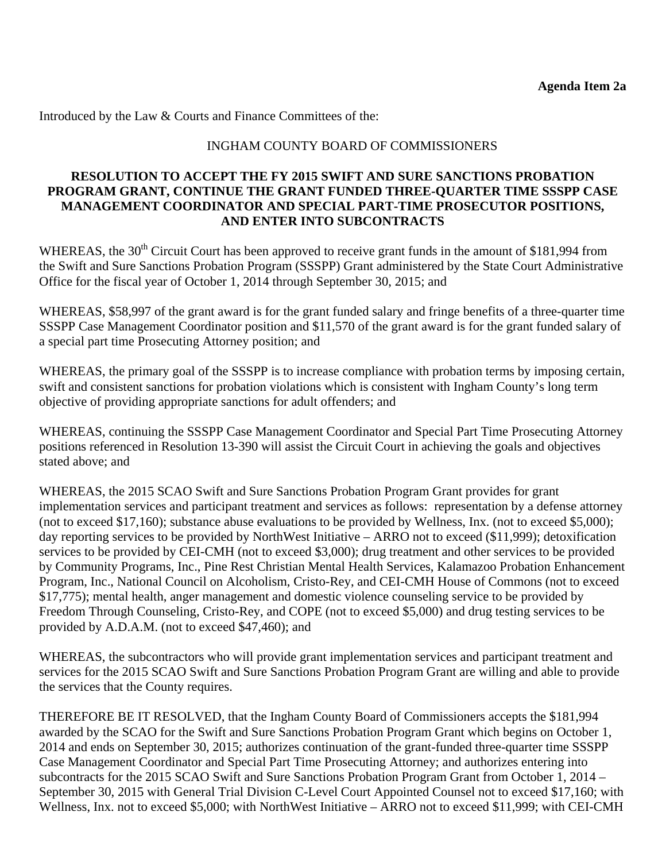Introduced by the Law & Courts and Finance Committees of the:

#### INGHAM COUNTY BOARD OF COMMISSIONERS

#### **RESOLUTION TO ACCEPT THE FY 2015 SWIFT AND SURE SANCTIONS PROBATION PROGRAM GRANT, CONTINUE THE GRANT FUNDED THREE-QUARTER TIME SSSPP CASE MANAGEMENT COORDINATOR AND SPECIAL PART-TIME PROSECUTOR POSITIONS, AND ENTER INTO SUBCONTRACTS**

WHEREAS, the  $30<sup>th</sup>$  Circuit Court has been approved to receive grant funds in the amount of \$181,994 from the Swift and Sure Sanctions Probation Program (SSSPP) Grant administered by the State Court Administrative Office for the fiscal year of October 1, 2014 through September 30, 2015; and

WHEREAS, \$58,997 of the grant award is for the grant funded salary and fringe benefits of a three-quarter time SSSPP Case Management Coordinator position and \$11,570 of the grant award is for the grant funded salary of a special part time Prosecuting Attorney position; and

WHEREAS, the primary goal of the SSSPP is to increase compliance with probation terms by imposing certain, swift and consistent sanctions for probation violations which is consistent with Ingham County's long term objective of providing appropriate sanctions for adult offenders; and

WHEREAS, continuing the SSSPP Case Management Coordinator and Special Part Time Prosecuting Attorney positions referenced in Resolution 13-390 will assist the Circuit Court in achieving the goals and objectives stated above; and

WHEREAS, the 2015 SCAO Swift and Sure Sanctions Probation Program Grant provides for grant implementation services and participant treatment and services as follows: representation by a defense attorney (not to exceed \$17,160); substance abuse evaluations to be provided by Wellness, Inx. (not to exceed \$5,000); day reporting services to be provided by NorthWest Initiative – ARRO not to exceed (\$11,999); detoxification services to be provided by CEI-CMH (not to exceed \$3,000); drug treatment and other services to be provided by Community Programs, Inc., Pine Rest Christian Mental Health Services, Kalamazoo Probation Enhancement Program, Inc., National Council on Alcoholism, Cristo-Rey, and CEI-CMH House of Commons (not to exceed \$17,775); mental health, anger management and domestic violence counseling service to be provided by Freedom Through Counseling, Cristo-Rey, and COPE (not to exceed \$5,000) and drug testing services to be provided by A.D.A.M. (not to exceed \$47,460); and

WHEREAS, the subcontractors who will provide grant implementation services and participant treatment and services for the 2015 SCAO Swift and Sure Sanctions Probation Program Grant are willing and able to provide the services that the County requires.

THEREFORE BE IT RESOLVED, that the Ingham County Board of Commissioners accepts the \$181,994 awarded by the SCAO for the Swift and Sure Sanctions Probation Program Grant which begins on October 1, 2014 and ends on September 30, 2015; authorizes continuation of the grant-funded three-quarter time SSSPP Case Management Coordinator and Special Part Time Prosecuting Attorney; and authorizes entering into subcontracts for the 2015 SCAO Swift and Sure Sanctions Probation Program Grant from October 1, 2014 – September 30, 2015 with General Trial Division C-Level Court Appointed Counsel not to exceed \$17,160; with Wellness, Inx. not to exceed \$5,000; with NorthWest Initiative – ARRO not to exceed \$11,999; with CEI-CMH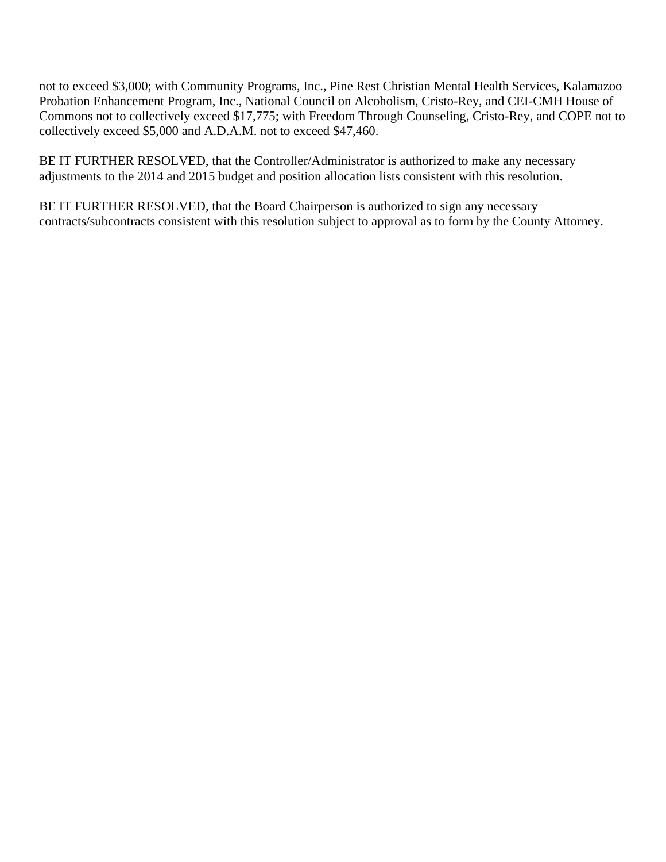not to exceed \$3,000; with Community Programs, Inc., Pine Rest Christian Mental Health Services, Kalamazoo Probation Enhancement Program, Inc., National Council on Alcoholism, Cristo-Rey, and CEI-CMH House of Commons not to collectively exceed \$17,775; with Freedom Through Counseling, Cristo-Rey, and COPE not to collectively exceed \$5,000 and A.D.A.M. not to exceed \$47,460.

BE IT FURTHER RESOLVED, that the Controller/Administrator is authorized to make any necessary adjustments to the 2014 and 2015 budget and position allocation lists consistent with this resolution.

BE IT FURTHER RESOLVED, that the Board Chairperson is authorized to sign any necessary contracts/subcontracts consistent with this resolution subject to approval as to form by the County Attorney.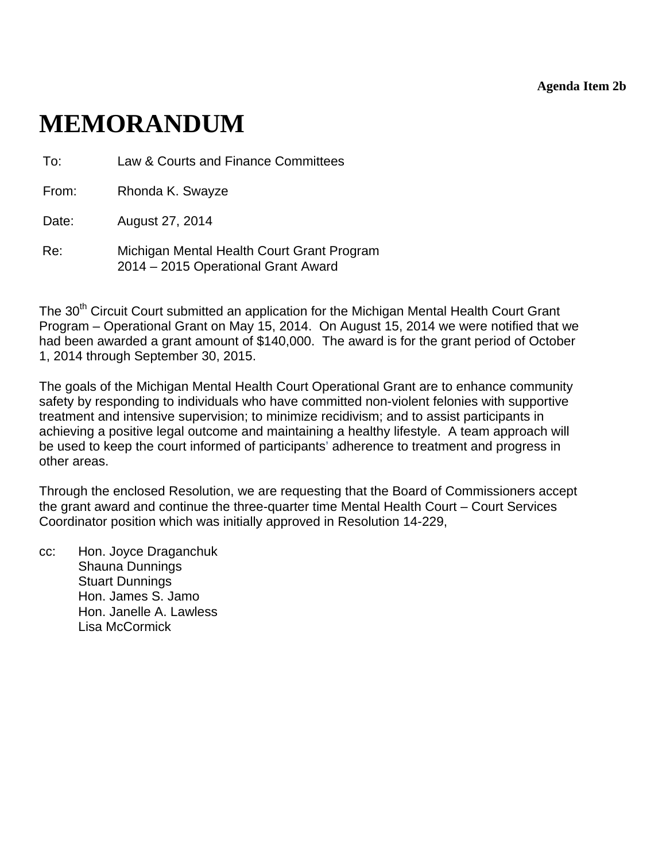**Agenda Item 2b** 

# <span id="page-20-0"></span>**MEMORANDUM**

To: Law & Courts and Finance Committees

From: Rhonda K. Swayze

Date: August 27, 2014

Re: Michigan Mental Health Court Grant Program 2014 – 2015 Operational Grant Award

The 30<sup>th</sup> Circuit Court submitted an application for the Michigan Mental Health Court Grant Program – Operational Grant on May 15, 2014. On August 15, 2014 we were notified that we had been awarded a grant amount of \$140,000. The award is for the grant period of October 1, 2014 through September 30, 2015.

The goals of the Michigan Mental Health Court Operational Grant are to enhance community safety by responding to individuals who have committed non-violent felonies with supportive treatment and intensive supervision; to minimize recidivism; and to assist participants in achieving a positive legal outcome and maintaining a healthy lifestyle. A team approach will be used to keep the court informed of participants' adherence to treatment and progress in other areas.

Through the enclosed Resolution, we are requesting that the Board of Commissioners accept the grant award and continue the three-quarter time Mental Health Court – Court Services Coordinator position which was initially approved in Resolution 14-229,

cc: Hon. Joyce Draganchuk Shauna Dunnings Stuart Dunnings Hon. James S. Jamo Hon. Janelle A. Lawless Lisa McCormick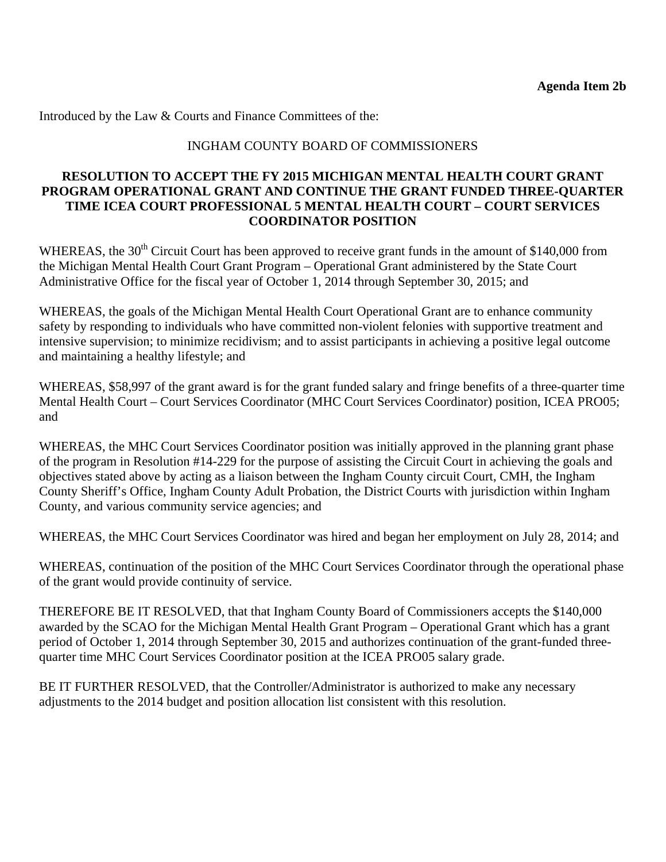Introduced by the Law & Courts and Finance Committees of the:

#### INGHAM COUNTY BOARD OF COMMISSIONERS

#### **RESOLUTION TO ACCEPT THE FY 2015 MICHIGAN MENTAL HEALTH COURT GRANT PROGRAM OPERATIONAL GRANT AND CONTINUE THE GRANT FUNDED THREE-QUARTER TIME ICEA COURT PROFESSIONAL 5 MENTAL HEALTH COURT – COURT SERVICES COORDINATOR POSITION**

WHEREAS, the  $30<sup>th</sup>$  Circuit Court has been approved to receive grant funds in the amount of \$140,000 from the Michigan Mental Health Court Grant Program – Operational Grant administered by the State Court Administrative Office for the fiscal year of October 1, 2014 through September 30, 2015; and

WHEREAS, the goals of the Michigan Mental Health Court Operational Grant are to enhance community safety by responding to individuals who have committed non-violent felonies with supportive treatment and intensive supervision; to minimize recidivism; and to assist participants in achieving a positive legal outcome and maintaining a healthy lifestyle; and

WHEREAS, \$58,997 of the grant award is for the grant funded salary and fringe benefits of a three-quarter time Mental Health Court – Court Services Coordinator (MHC Court Services Coordinator) position, ICEA PRO05; and

WHEREAS, the MHC Court Services Coordinator position was initially approved in the planning grant phase of the program in Resolution #14-229 for the purpose of assisting the Circuit Court in achieving the goals and objectives stated above by acting as a liaison between the Ingham County circuit Court, CMH, the Ingham County Sheriff's Office, Ingham County Adult Probation, the District Courts with jurisdiction within Ingham County, and various community service agencies; and

WHEREAS, the MHC Court Services Coordinator was hired and began her employment on July 28, 2014; and

WHEREAS, continuation of the position of the MHC Court Services Coordinator through the operational phase of the grant would provide continuity of service.

THEREFORE BE IT RESOLVED, that that Ingham County Board of Commissioners accepts the \$140,000 awarded by the SCAO for the Michigan Mental Health Grant Program – Operational Grant which has a grant period of October 1, 2014 through September 30, 2015 and authorizes continuation of the grant-funded threequarter time MHC Court Services Coordinator position at the ICEA PRO05 salary grade.

BE IT FURTHER RESOLVED, that the Controller/Administrator is authorized to make any necessary adjustments to the 2014 budget and position allocation list consistent with this resolution.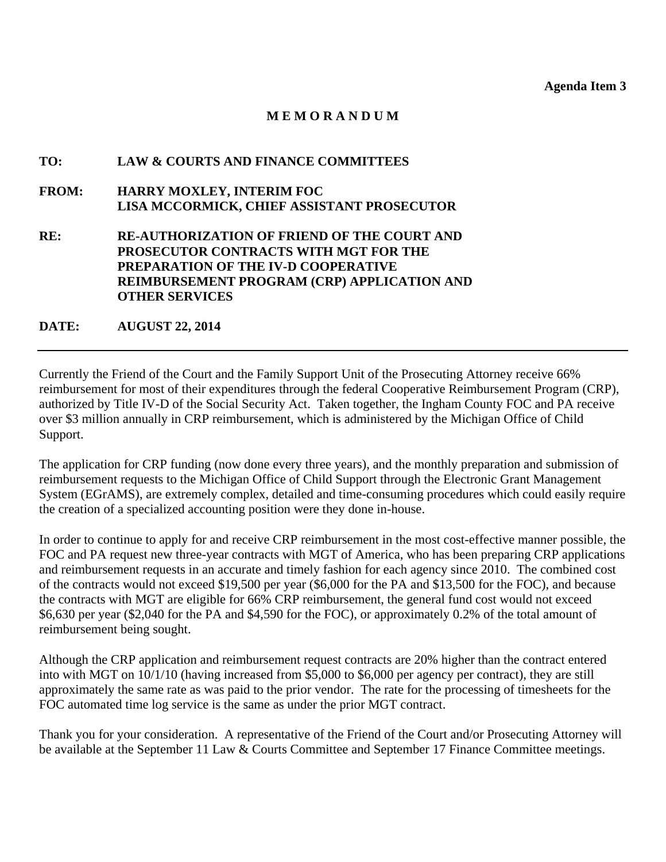**Agenda Item 3** 

#### **M E M O R A N D U M**

## <span id="page-22-0"></span>**TO: LAW & COURTS AND FINANCE COMMITTEES FROM: HARRY MOXLEY, INTERIM FOC LISA MCCORMICK, CHIEF ASSISTANT PROSECUTOR RE: RE-AUTHORIZATION OF FRIEND OF THE COURT AND PROSECUTOR CONTRACTS WITH MGT FOR THE PREPARATION OF THE IV-D COOPERATIVE REIMBURSEMENT PROGRAM (CRP) APPLICATION AND OTHER SERVICES**

**DATE: AUGUST 22, 2014** 

Currently the Friend of the Court and the Family Support Unit of the Prosecuting Attorney receive 66% reimbursement for most of their expenditures through the federal Cooperative Reimbursement Program (CRP), authorized by Title IV-D of the Social Security Act. Taken together, the Ingham County FOC and PA receive over \$3 million annually in CRP reimbursement, which is administered by the Michigan Office of Child Support.

The application for CRP funding (now done every three years), and the monthly preparation and submission of reimbursement requests to the Michigan Office of Child Support through the Electronic Grant Management System (EGrAMS), are extremely complex, detailed and time-consuming procedures which could easily require the creation of a specialized accounting position were they done in-house.

In order to continue to apply for and receive CRP reimbursement in the most cost-effective manner possible, the FOC and PA request new three-year contracts with MGT of America, who has been preparing CRP applications and reimbursement requests in an accurate and timely fashion for each agency since 2010. The combined cost of the contracts would not exceed \$19,500 per year (\$6,000 for the PA and \$13,500 for the FOC), and because the contracts with MGT are eligible for 66% CRP reimbursement, the general fund cost would not exceed \$6,630 per year (\$2,040 for the PA and \$4,590 for the FOC), or approximately 0.2% of the total amount of reimbursement being sought.

Although the CRP application and reimbursement request contracts are 20% higher than the contract entered into with MGT on 10/1/10 (having increased from \$5,000 to \$6,000 per agency per contract), they are still approximately the same rate as was paid to the prior vendor. The rate for the processing of timesheets for the FOC automated time log service is the same as under the prior MGT contract.

Thank you for your consideration. A representative of the Friend of the Court and/or Prosecuting Attorney will be available at the September 11 Law & Courts Committee and September 17 Finance Committee meetings.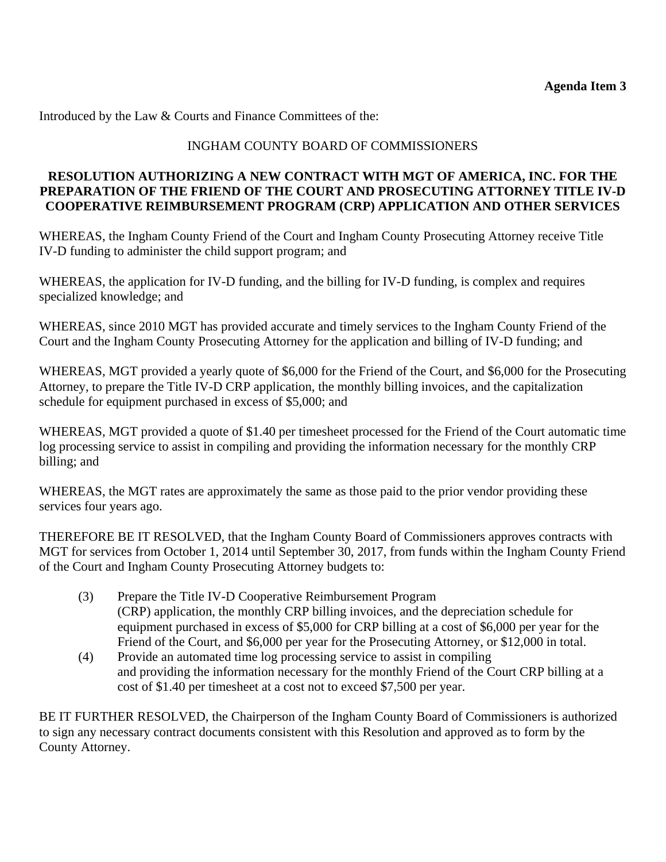Introduced by the Law & Courts and Finance Committees of the:

#### INGHAM COUNTY BOARD OF COMMISSIONERS

#### **RESOLUTION AUTHORIZING A NEW CONTRACT WITH MGT OF AMERICA, INC. FOR THE PREPARATION OF THE FRIEND OF THE COURT AND PROSECUTING ATTORNEY TITLE IV-D COOPERATIVE REIMBURSEMENT PROGRAM (CRP) APPLICATION AND OTHER SERVICES**

WHEREAS, the Ingham County Friend of the Court and Ingham County Prosecuting Attorney receive Title IV-D funding to administer the child support program; and

WHEREAS, the application for IV-D funding, and the billing for IV-D funding, is complex and requires specialized knowledge; and

WHEREAS, since 2010 MGT has provided accurate and timely services to the Ingham County Friend of the Court and the Ingham County Prosecuting Attorney for the application and billing of IV-D funding; and

WHEREAS, MGT provided a yearly quote of \$6,000 for the Friend of the Court, and \$6,000 for the Prosecuting Attorney, to prepare the Title IV-D CRP application, the monthly billing invoices, and the capitalization schedule for equipment purchased in excess of \$5,000; and

WHEREAS, MGT provided a quote of \$1.40 per timesheet processed for the Friend of the Court automatic time log processing service to assist in compiling and providing the information necessary for the monthly CRP billing; and

WHEREAS, the MGT rates are approximately the same as those paid to the prior vendor providing these services four years ago.

THEREFORE BE IT RESOLVED, that the Ingham County Board of Commissioners approves contracts with MGT for services from October 1, 2014 until September 30, 2017, from funds within the Ingham County Friend of the Court and Ingham County Prosecuting Attorney budgets to:

- (3) Prepare the Title IV-D Cooperative Reimbursement Program (CRP) application, the monthly CRP billing invoices, and the depreciation schedule for equipment purchased in excess of \$5,000 for CRP billing at a cost of \$6,000 per year for the Friend of the Court, and \$6,000 per year for the Prosecuting Attorney, or \$12,000 in total.
- (4) Provide an automated time log processing service to assist in compiling and providing the information necessary for the monthly Friend of the Court CRP billing at a cost of \$1.40 per timesheet at a cost not to exceed \$7,500 per year.

BE IT FURTHER RESOLVED, the Chairperson of the Ingham County Board of Commissioners is authorized to sign any necessary contract documents consistent with this Resolution and approved as to form by the County Attorney.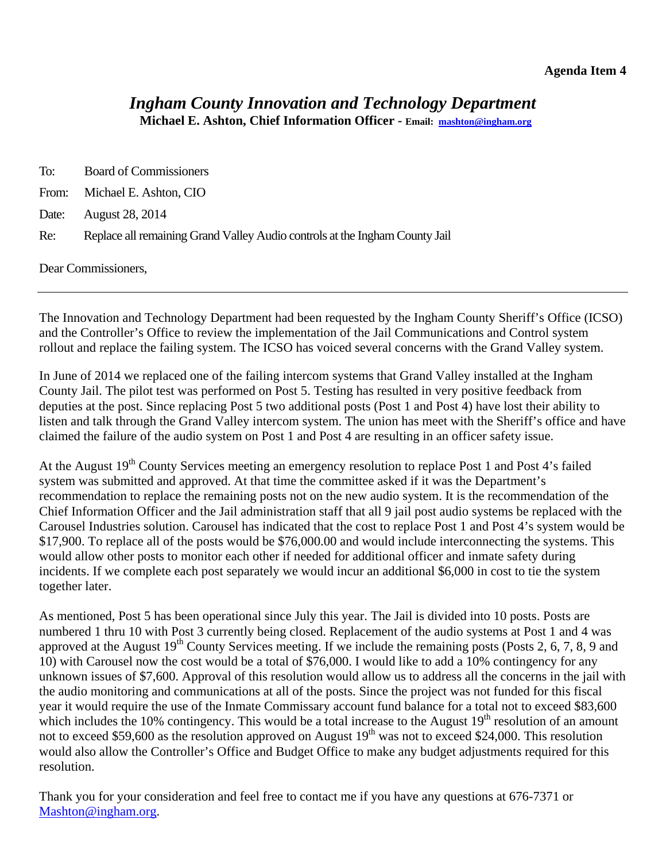### <span id="page-24-0"></span>*Ingham County Innovation and Technology Department* **Michael E. Ashton, Chief Information Officer - Email: mashton@ingham.org**

| To:   | <b>Board of Commissioners</b>                                               |
|-------|-----------------------------------------------------------------------------|
|       | From: Michael E. Ashton, CIO                                                |
| Date: | <b>August 28, 2014</b>                                                      |
| Re:   | Replace all remaining Grand Valley Audio controls at the Ingham County Jail |
|       | Dear Commissioners,                                                         |

The Innovation and Technology Department had been requested by the Ingham County Sheriff's Office (ICSO) and the Controller's Office to review the implementation of the Jail Communications and Control system rollout and replace the failing system. The ICSO has voiced several concerns with the Grand Valley system.

In June of 2014 we replaced one of the failing intercom systems that Grand Valley installed at the Ingham County Jail. The pilot test was performed on Post 5. Testing has resulted in very positive feedback from deputies at the post. Since replacing Post 5 two additional posts (Post 1 and Post 4) have lost their ability to listen and talk through the Grand Valley intercom system. The union has meet with the Sheriff's office and have claimed the failure of the audio system on Post 1 and Post 4 are resulting in an officer safety issue.

At the August 19<sup>th</sup> County Services meeting an emergency resolution to replace Post 1 and Post 4's failed system was submitted and approved. At that time the committee asked if it was the Department's recommendation to replace the remaining posts not on the new audio system. It is the recommendation of the Chief Information Officer and the Jail administration staff that all 9 jail post audio systems be replaced with the Carousel Industries solution. Carousel has indicated that the cost to replace Post 1 and Post 4's system would be \$17,900. To replace all of the posts would be \$76,000.00 and would include interconnecting the systems. This would allow other posts to monitor each other if needed for additional officer and inmate safety during incidents. If we complete each post separately we would incur an additional \$6,000 in cost to tie the system together later.

As mentioned, Post 5 has been operational since July this year. The Jail is divided into 10 posts. Posts are numbered 1 thru 10 with Post 3 currently being closed. Replacement of the audio systems at Post 1 and 4 was approved at the August  $19<sup>th</sup>$  County Services meeting. If we include the remaining posts (Posts 2, 6, 7, 8, 9 and 10) with Carousel now the cost would be a total of \$76,000. I would like to add a 10% contingency for any unknown issues of \$7,600. Approval of this resolution would allow us to address all the concerns in the jail with the audio monitoring and communications at all of the posts. Since the project was not funded for this fiscal year it would require the use of the Inmate Commissary account fund balance for a total not to exceed \$83,600 which includes the 10% contingency. This would be a total increase to the August  $19<sup>th</sup>$  resolution of an amount not to exceed \$59,600 as the resolution approved on August  $19^{th}$  was not to exceed \$24,000. This resolution would also allow the Controller's Office and Budget Office to make any budget adjustments required for this resolution.

Thank you for your consideration and feel free to contact me if you have any questions at 676-7371 or Mashton@ingham.org.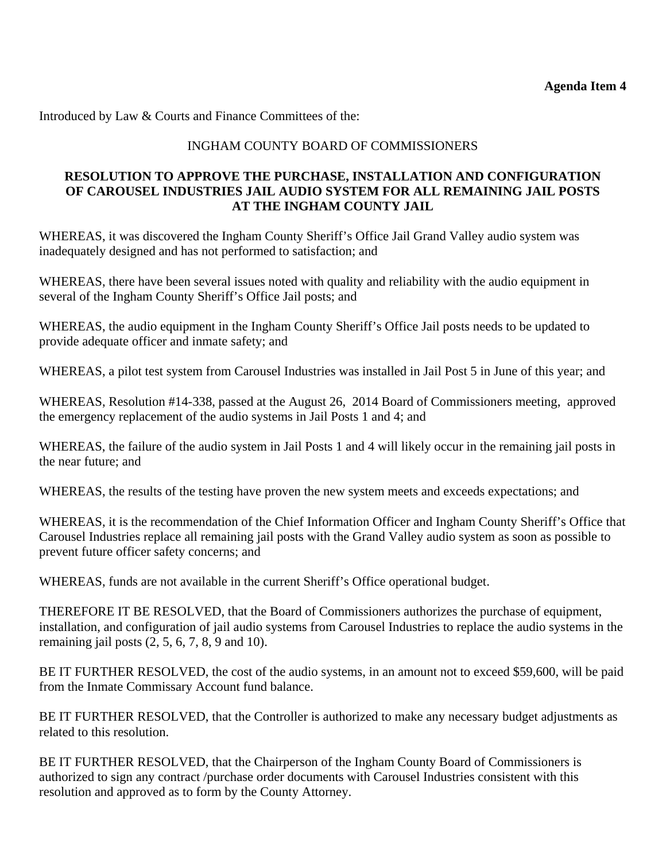Introduced by Law & Courts and Finance Committees of the:

#### INGHAM COUNTY BOARD OF COMMISSIONERS

#### **RESOLUTION TO APPROVE THE PURCHASE, INSTALLATION AND CONFIGURATION OF CAROUSEL INDUSTRIES JAIL AUDIO SYSTEM FOR ALL REMAINING JAIL POSTS AT THE INGHAM COUNTY JAIL**

WHEREAS, it was discovered the Ingham County Sheriff's Office Jail Grand Valley audio system was inadequately designed and has not performed to satisfaction; and

WHEREAS, there have been several issues noted with quality and reliability with the audio equipment in several of the Ingham County Sheriff's Office Jail posts; and

WHEREAS, the audio equipment in the Ingham County Sheriff's Office Jail posts needs to be updated to provide adequate officer and inmate safety; and

WHEREAS, a pilot test system from Carousel Industries was installed in Jail Post 5 in June of this year; and

WHEREAS, Resolution #14-338, passed at the August 26, 2014 Board of Commissioners meeting, approved the emergency replacement of the audio systems in Jail Posts 1 and 4; and

WHEREAS, the failure of the audio system in Jail Posts 1 and 4 will likely occur in the remaining jail posts in the near future; and

WHEREAS, the results of the testing have proven the new system meets and exceeds expectations; and

WHEREAS, it is the recommendation of the Chief Information Officer and Ingham County Sheriff's Office that Carousel Industries replace all remaining jail posts with the Grand Valley audio system as soon as possible to prevent future officer safety concerns; and

WHEREAS, funds are not available in the current Sheriff's Office operational budget.

THEREFORE IT BE RESOLVED, that the Board of Commissioners authorizes the purchase of equipment, installation, and configuration of jail audio systems from Carousel Industries to replace the audio systems in the remaining jail posts  $(2, 5, 6, 7, 8, 9, 10)$ .

BE IT FURTHER RESOLVED, the cost of the audio systems, in an amount not to exceed \$59,600, will be paid from the Inmate Commissary Account fund balance.

BE IT FURTHER RESOLVED, that the Controller is authorized to make any necessary budget adjustments as related to this resolution.

BE IT FURTHER RESOLVED, that the Chairperson of the Ingham County Board of Commissioners is authorized to sign any contract /purchase order documents with Carousel Industries consistent with this resolution and approved as to form by the County Attorney.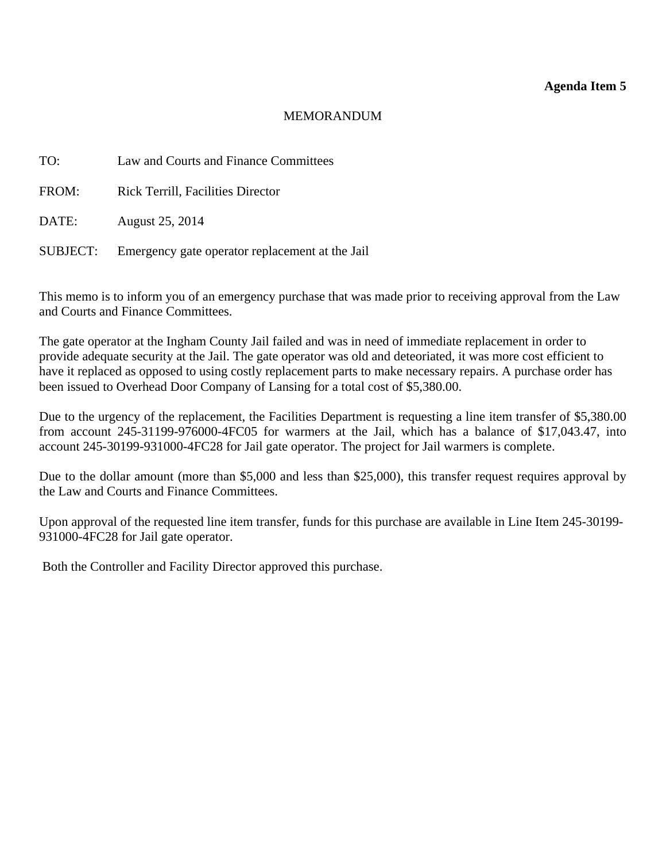#### **Agenda Item 5**

#### MEMORANDUM

<span id="page-26-0"></span>

| TO:      | Law and Courts and Finance Committees           |
|----------|-------------------------------------------------|
| FROM:    | <b>Rick Terrill, Facilities Director</b>        |
| DATE:    | August 25, 2014                                 |
| SUBJECT: | Emergency gate operator replacement at the Jail |

This memo is to inform you of an emergency purchase that was made prior to receiving approval from the Law and Courts and Finance Committees.

The gate operator at the Ingham County Jail failed and was in need of immediate replacement in order to provide adequate security at the Jail. The gate operator was old and deteoriated, it was more cost efficient to have it replaced as opposed to using costly replacement parts to make necessary repairs. A purchase order has been issued to Overhead Door Company of Lansing for a total cost of \$5,380.00.

Due to the urgency of the replacement, the Facilities Department is requesting a line item transfer of \$5,380.00 from account 245-31199-976000-4FC05 for warmers at the Jail, which has a balance of \$17,043.47, into account 245-30199-931000-4FC28 for Jail gate operator. The project for Jail warmers is complete.

Due to the dollar amount (more than \$5,000 and less than \$25,000), this transfer request requires approval by the Law and Courts and Finance Committees.

Upon approval of the requested line item transfer, funds for this purchase are available in Line Item 245-30199- 931000-4FC28 for Jail gate operator.

Both the Controller and Facility Director approved this purchase.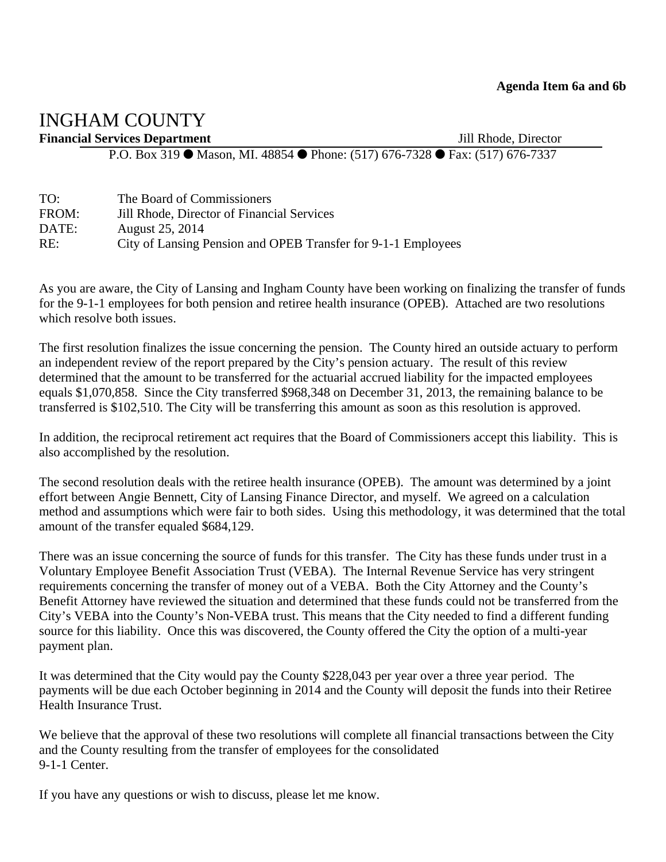# INGHAM COUNTY

**Financial Services Department** Jill Rhode, Director

P.O. Box 319 ● Mason, MI. 48854 ● Phone: (517) 676-7328 ● Fax: (517) 676-7337

| TO:   | The Board of Commissioners                                    |
|-------|---------------------------------------------------------------|
| FROM: | Jill Rhode, Director of Financial Services                    |
| DATE: | August 25, 2014                                               |
| RE:   | City of Lansing Pension and OPEB Transfer for 9-1-1 Employees |

As you are aware, the City of Lansing and Ingham County have been working on finalizing the transfer of funds for the 9-1-1 employees for both pension and retiree health insurance (OPEB). Attached are two resolutions which resolve both issues.

The first resolution finalizes the issue concerning the pension. The County hired an outside actuary to perform an independent review of the report prepared by the City's pension actuary. The result of this review determined that the amount to be transferred for the actuarial accrued liability for the impacted employees equals \$1,070,858. Since the City transferred \$968,348 on December 31, 2013, the remaining balance to be transferred is \$102,510. The City will be transferring this amount as soon as this resolution is approved.

In addition, the reciprocal retirement act requires that the Board of Commissioners accept this liability. This is also accomplished by the resolution.

The second resolution deals with the retiree health insurance (OPEB). The amount was determined by a joint effort between Angie Bennett, City of Lansing Finance Director, and myself. We agreed on a calculation method and assumptions which were fair to both sides. Using this methodology, it was determined that the total amount of the transfer equaled \$684,129.

There was an issue concerning the source of funds for this transfer. The City has these funds under trust in a Voluntary Employee Benefit Association Trust (VEBA). The Internal Revenue Service has very stringent requirements concerning the transfer of money out of a VEBA. Both the City Attorney and the County's Benefit Attorney have reviewed the situation and determined that these funds could not be transferred from the City's VEBA into the County's Non-VEBA trust. This means that the City needed to find a different funding source for this liability. Once this was discovered, the County offered the City the option of a multi-year payment plan.

It was determined that the City would pay the County \$228,043 per year over a three year period. The payments will be due each October beginning in 2014 and the County will deposit the funds into their Retiree Health Insurance Trust.

We believe that the approval of these two resolutions will complete all financial transactions between the City and the County resulting from the transfer of employees for the consolidated 9-1-1 Center.

If you have any questions or wish to discuss, please let me know.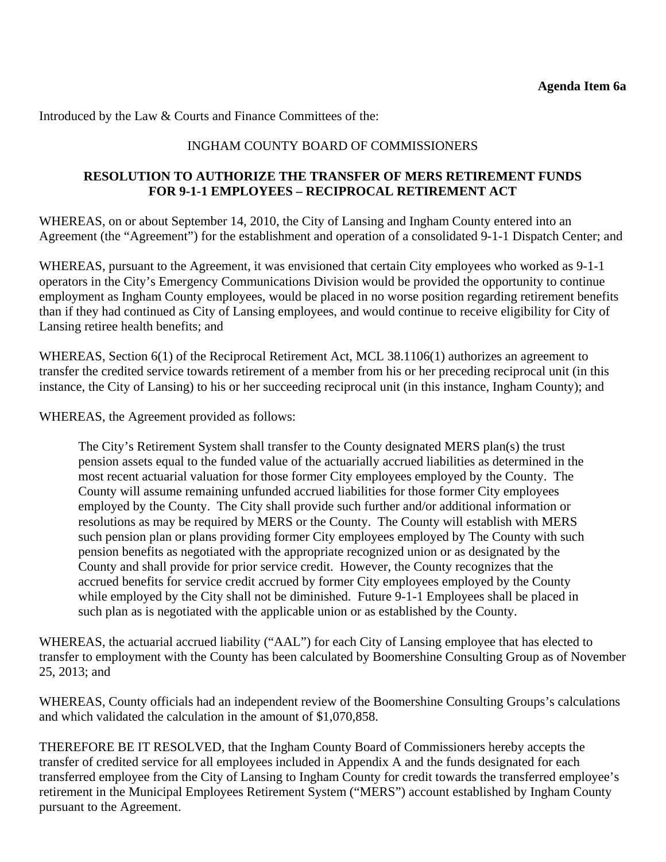<span id="page-28-0"></span>Introduced by the Law & Courts and Finance Committees of the:

#### INGHAM COUNTY BOARD OF COMMISSIONERS

#### **RESOLUTION TO AUTHORIZE THE TRANSFER OF MERS RETIREMENT FUNDS FOR 9-1-1 EMPLOYEES – RECIPROCAL RETIREMENT ACT**

WHEREAS, on or about September 14, 2010, the City of Lansing and Ingham County entered into an Agreement (the "Agreement") for the establishment and operation of a consolidated 9-1-1 Dispatch Center; and

WHEREAS, pursuant to the Agreement, it was envisioned that certain City employees who worked as 9-1-1 operators in the City's Emergency Communications Division would be provided the opportunity to continue employment as Ingham County employees, would be placed in no worse position regarding retirement benefits than if they had continued as City of Lansing employees, and would continue to receive eligibility for City of Lansing retiree health benefits; and

WHEREAS, Section 6(1) of the Reciprocal Retirement Act, MCL 38.1106(1) authorizes an agreement to transfer the credited service towards retirement of a member from his or her preceding reciprocal unit (in this instance, the City of Lansing) to his or her succeeding reciprocal unit (in this instance, Ingham County); and

WHEREAS, the Agreement provided as follows:

The City's Retirement System shall transfer to the County designated MERS plan(s) the trust pension assets equal to the funded value of the actuarially accrued liabilities as determined in the most recent actuarial valuation for those former City employees employed by the County. The County will assume remaining unfunded accrued liabilities for those former City employees employed by the County. The City shall provide such further and/or additional information or resolutions as may be required by MERS or the County. The County will establish with MERS such pension plan or plans providing former City employees employed by The County with such pension benefits as negotiated with the appropriate recognized union or as designated by the County and shall provide for prior service credit. However, the County recognizes that the accrued benefits for service credit accrued by former City employees employed by the County while employed by the City shall not be diminished. Future 9-1-1 Employees shall be placed in such plan as is negotiated with the applicable union or as established by the County.

WHEREAS, the actuarial accrued liability ("AAL") for each City of Lansing employee that has elected to transfer to employment with the County has been calculated by Boomershine Consulting Group as of November 25, 2013; and

WHEREAS, County officials had an independent review of the Boomershine Consulting Groups's calculations and which validated the calculation in the amount of \$1,070,858.

THEREFORE BE IT RESOLVED, that the Ingham County Board of Commissioners hereby accepts the transfer of credited service for all employees included in Appendix A and the funds designated for each transferred employee from the City of Lansing to Ingham County for credit towards the transferred employee's retirement in the Municipal Employees Retirement System ("MERS") account established by Ingham County pursuant to the Agreement.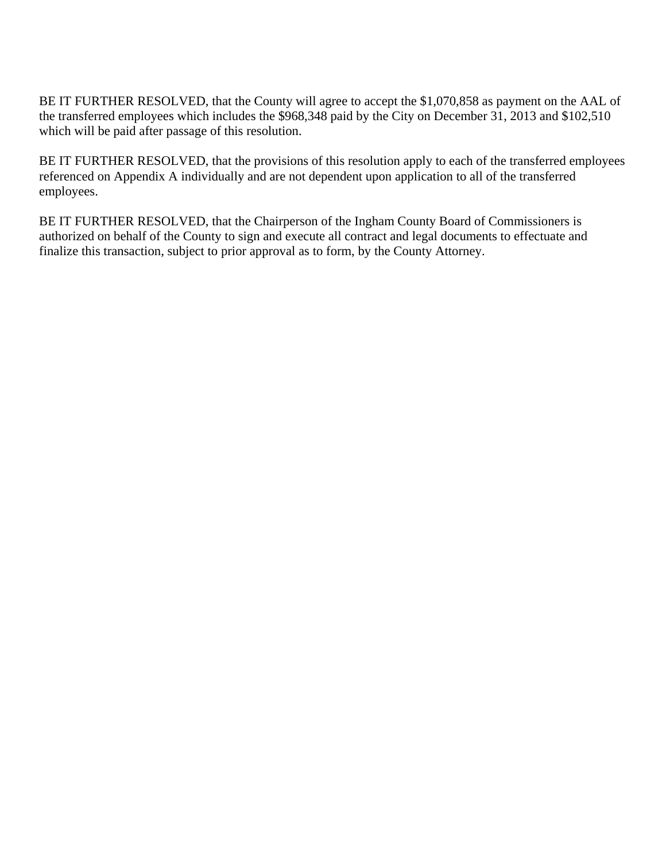BE IT FURTHER RESOLVED, that the County will agree to accept the \$1,070,858 as payment on the AAL of the transferred employees which includes the \$968,348 paid by the City on December 31, 2013 and \$102,510 which will be paid after passage of this resolution.

BE IT FURTHER RESOLVED, that the provisions of this resolution apply to each of the transferred employees referenced on Appendix A individually and are not dependent upon application to all of the transferred employees.

BE IT FURTHER RESOLVED, that the Chairperson of the Ingham County Board of Commissioners is authorized on behalf of the County to sign and execute all contract and legal documents to effectuate and finalize this transaction, subject to prior approval as to form, by the County Attorney.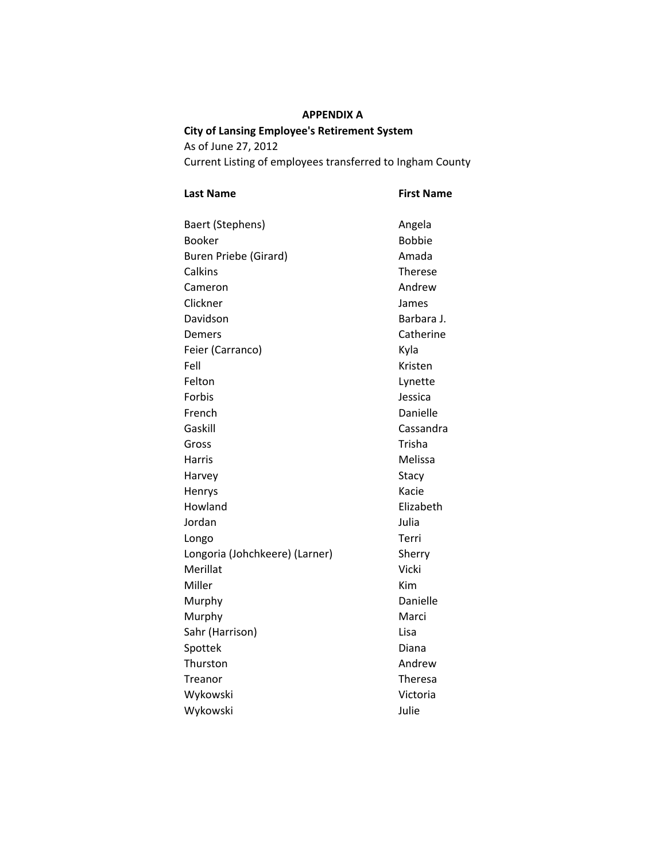## **APPENDIX A**

**City of Lansing Employee's Retirement System**  As of June 27, 2012 Current Listing of employees transferred to Ingham County

#### **Last Name First Name** Baert (Stephens) and a Regular Angela Booker Bobbie Buren Priebe (Girard) **Amada** Calkins Therese Cameron **Andrew** Andrew Clickner James Davidson **Barbara J.** Barbara J. Demers Catherine Feier (Carranco) and Kyla Fell Kristen Felton Lynette Forbis Jessica French Danielle Gaskill Cassandra Gross Trisha Harris Melissa Harvey **Stacy** Henrys Kacie Howland **Elizabeth** Jordan Julia Longo Terri Longoria (Johchkeere) (Larner) Sherry Merillat Vicki Miller **Kim** Murphy Danielle Murphy Marci National Marci National Marci National Marci National Marci National Marci National Marci National Marci National Marci National Marci National Marci National Marci National Marci National Marci National Marci Sahr (Harrison) Lisa Spottek Diana Thurston **Andrew** Andrew Treanor Theresa Wykowski Victoria Wykowski Julie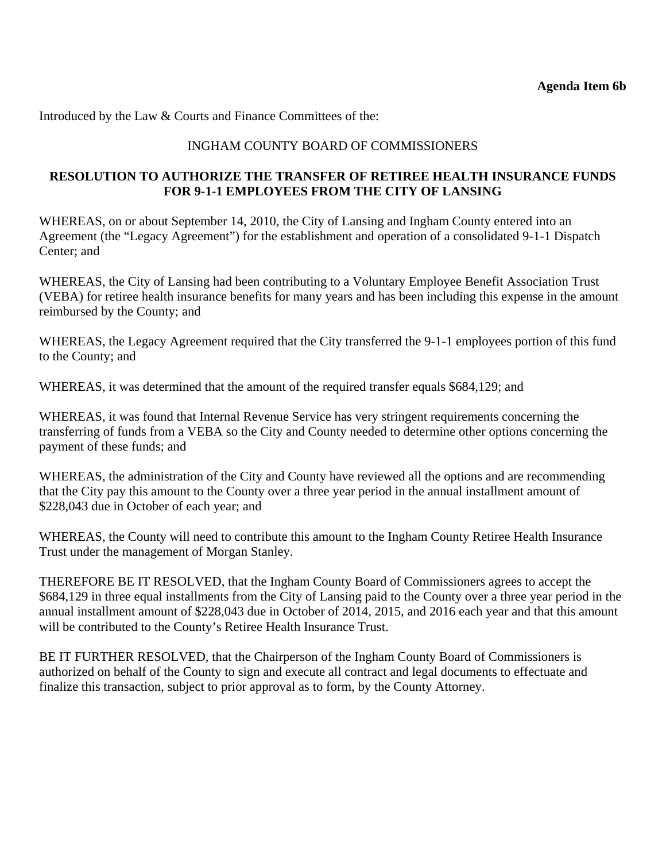<span id="page-31-0"></span>Introduced by the Law & Courts and Finance Committees of the:

#### INGHAM COUNTY BOARD OF COMMISSIONERS

#### **RESOLUTION TO AUTHORIZE THE TRANSFER OF RETIREE HEALTH INSURANCE FUNDS FOR 9-1-1 EMPLOYEES FROM THE CITY OF LANSING**

WHEREAS, on or about September 14, 2010, the City of Lansing and Ingham County entered into an Agreement (the "Legacy Agreement") for the establishment and operation of a consolidated 9-1-1 Dispatch Center; and

WHEREAS, the City of Lansing had been contributing to a Voluntary Employee Benefit Association Trust (VEBA) for retiree health insurance benefits for many years and has been including this expense in the amount reimbursed by the County; and

WHEREAS, the Legacy Agreement required that the City transferred the 9-1-1 employees portion of this fund to the County; and

WHEREAS, it was determined that the amount of the required transfer equals \$684,129; and

WHEREAS, it was found that Internal Revenue Service has very stringent requirements concerning the transferring of funds from a VEBA so the City and County needed to determine other options concerning the payment of these funds; and

WHEREAS, the administration of the City and County have reviewed all the options and are recommending that the City pay this amount to the County over a three year period in the annual installment amount of \$228,043 due in October of each year; and

WHEREAS, the County will need to contribute this amount to the Ingham County Retiree Health Insurance Trust under the management of Morgan Stanley.

THEREFORE BE IT RESOLVED, that the Ingham County Board of Commissioners agrees to accept the \$684,129 in three equal installments from the City of Lansing paid to the County over a three year period in the annual installment amount of \$228,043 due in October of 2014, 2015, and 2016 each year and that this amount will be contributed to the County's Retiree Health Insurance Trust.

BE IT FURTHER RESOLVED, that the Chairperson of the Ingham County Board of Commissioners is authorized on behalf of the County to sign and execute all contract and legal documents to effectuate and finalize this transaction, subject to prior approval as to form, by the County Attorney.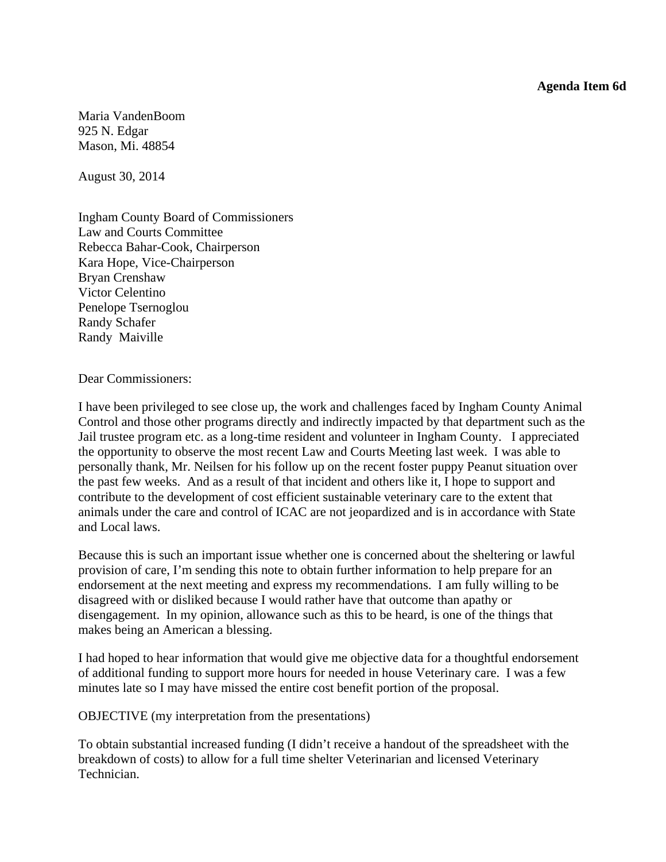**Agenda Item 6d** 

<span id="page-32-0"></span>Maria VandenBoom 925 N. Edgar Mason, Mi. 48854

August 30, 2014

Ingham County Board of Commissioners Law and Courts Committee Rebecca Bahar-Cook, Chairperson Kara Hope, Vice-Chairperson Bryan Crenshaw Victor Celentino Penelope Tsernoglou Randy Schafer Randy Maiville

Dear Commissioners:

I have been privileged to see close up, the work and challenges faced by Ingham County Animal Control and those other programs directly and indirectly impacted by that department such as the Jail trustee program etc. as a long-time resident and volunteer in Ingham County. I appreciated the opportunity to observe the most recent Law and Courts Meeting last week. I was able to personally thank, Mr. Neilsen for his follow up on the recent foster puppy Peanut situation over the past few weeks. And as a result of that incident and others like it, I hope to support and contribute to the development of cost efficient sustainable veterinary care to the extent that animals under the care and control of ICAC are not jeopardized and is in accordance with State and Local laws.

Because this is such an important issue whether one is concerned about the sheltering or lawful provision of care, I'm sending this note to obtain further information to help prepare for an endorsement at the next meeting and express my recommendations. I am fully willing to be disagreed with or disliked because I would rather have that outcome than apathy or disengagement. In my opinion, allowance such as this to be heard, is one of the things that makes being an American a blessing.

I had hoped to hear information that would give me objective data for a thoughtful endorsement of additional funding to support more hours for needed in house Veterinary care. I was a few minutes late so I may have missed the entire cost benefit portion of the proposal.

OBJECTIVE (my interpretation from the presentations)

To obtain substantial increased funding (I didn't receive a handout of the spreadsheet with the breakdown of costs) to allow for a full time shelter Veterinarian and licensed Veterinary Technician.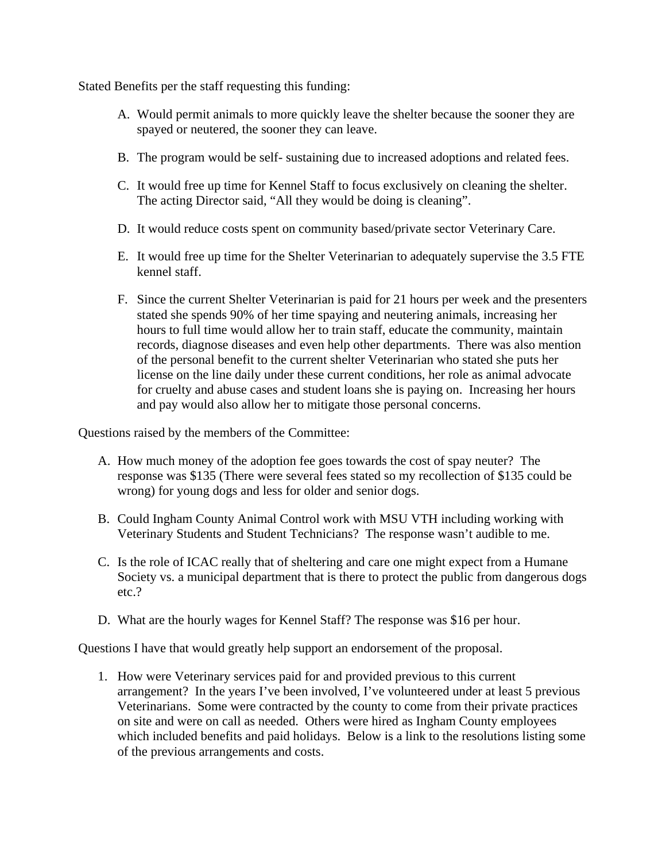Stated Benefits per the staff requesting this funding:

- A. Would permit animals to more quickly leave the shelter because the sooner they are spayed or neutered, the sooner they can leave.
- B. The program would be self- sustaining due to increased adoptions and related fees.
- C. It would free up time for Kennel Staff to focus exclusively on cleaning the shelter. The acting Director said, "All they would be doing is cleaning".
- D. It would reduce costs spent on community based/private sector Veterinary Care.
- E. It would free up time for the Shelter Veterinarian to adequately supervise the 3.5 FTE kennel staff.
- F. Since the current Shelter Veterinarian is paid for 21 hours per week and the presenters stated she spends 90% of her time spaying and neutering animals, increasing her hours to full time would allow her to train staff, educate the community, maintain records, diagnose diseases and even help other departments. There was also mention of the personal benefit to the current shelter Veterinarian who stated she puts her license on the line daily under these current conditions, her role as animal advocate for cruelty and abuse cases and student loans she is paying on. Increasing her hours and pay would also allow her to mitigate those personal concerns.

Questions raised by the members of the Committee:

- A. How much money of the adoption fee goes towards the cost of spay neuter? The response was \$135 (There were several fees stated so my recollection of \$135 could be wrong) for young dogs and less for older and senior dogs.
- B. Could Ingham County Animal Control work with MSU VTH including working with Veterinary Students and Student Technicians? The response wasn't audible to me.
- C. Is the role of ICAC really that of sheltering and care one might expect from a Humane Society vs. a municipal department that is there to protect the public from dangerous dogs etc.?
- D. What are the hourly wages for Kennel Staff? The response was \$16 per hour.

Questions I have that would greatly help support an endorsement of the proposal.

1. How were Veterinary services paid for and provided previous to this current arrangement? In the years I've been involved, I've volunteered under at least 5 previous Veterinarians. Some were contracted by the county to come from their private practices on site and were on call as needed. Others were hired as Ingham County employees which included benefits and paid holidays. Below is a link to the resolutions listing some of the previous arrangements and costs.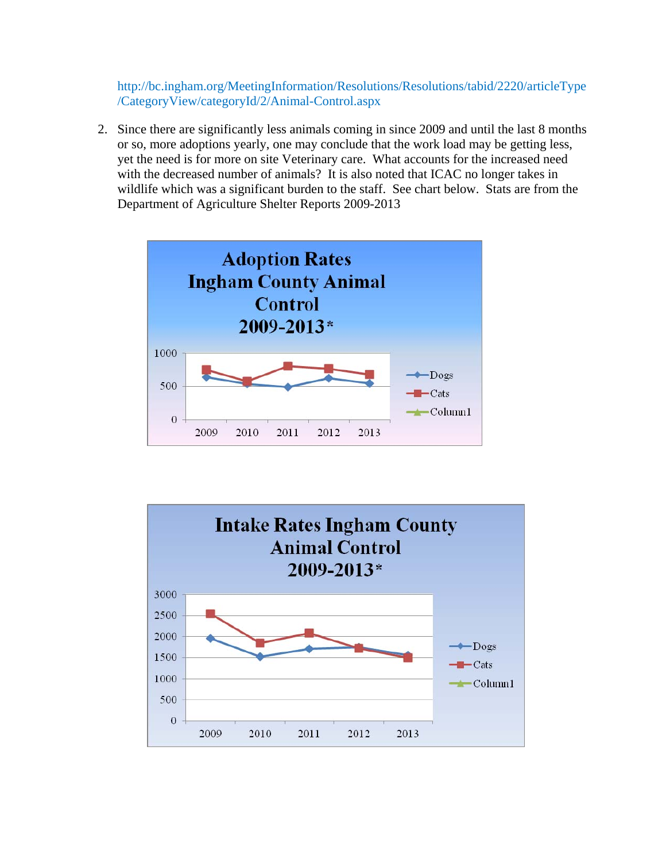http://bc.ingham.org/MeetingInformation/Resolutions/Resolutions/tabid/2220/articleType /CategoryView/categoryId/2/Animal-Control.aspx

2. Since there are significantly less animals coming in since 2009 and until the last 8 months or so, more adoptions yearly, one may conclude that the work load may be getting less, yet the need is for more on site Veterinary care. What accounts for the increased need with the decreased number of animals? It is also noted that ICAC no longer takes in wildlife which was a significant burden to the staff. See chart below. Stats are from the Department of Agriculture Shelter Reports 2009-2013



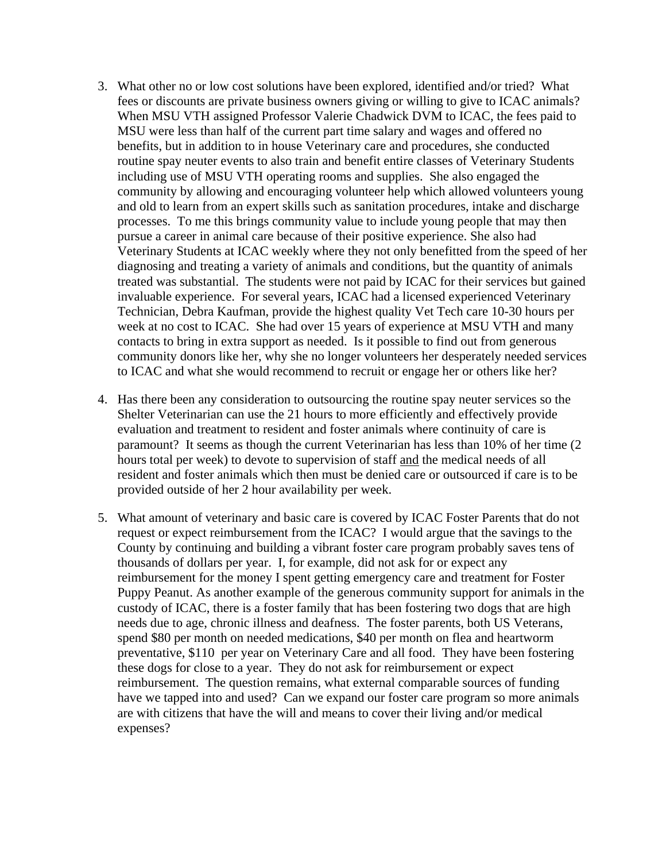- 3. What other no or low cost solutions have been explored, identified and/or tried? What fees or discounts are private business owners giving or willing to give to ICAC animals? When MSU VTH assigned Professor Valerie Chadwick DVM to ICAC, the fees paid to MSU were less than half of the current part time salary and wages and offered no benefits, but in addition to in house Veterinary care and procedures, she conducted routine spay neuter events to also train and benefit entire classes of Veterinary Students including use of MSU VTH operating rooms and supplies. She also engaged the community by allowing and encouraging volunteer help which allowed volunteers young and old to learn from an expert skills such as sanitation procedures, intake and discharge processes. To me this brings community value to include young people that may then pursue a career in animal care because of their positive experience. She also had Veterinary Students at ICAC weekly where they not only benefitted from the speed of her diagnosing and treating a variety of animals and conditions, but the quantity of animals treated was substantial. The students were not paid by ICAC for their services but gained invaluable experience. For several years, ICAC had a licensed experienced Veterinary Technician, Debra Kaufman, provide the highest quality Vet Tech care 10-30 hours per week at no cost to ICAC. She had over 15 years of experience at MSU VTH and many contacts to bring in extra support as needed. Is it possible to find out from generous community donors like her, why she no longer volunteers her desperately needed services to ICAC and what she would recommend to recruit or engage her or others like her?
- 4. Has there been any consideration to outsourcing the routine spay neuter services so the Shelter Veterinarian can use the 21 hours to more efficiently and effectively provide evaluation and treatment to resident and foster animals where continuity of care is paramount? It seems as though the current Veterinarian has less than 10% of her time (2 hours total per week) to devote to supervision of staff and the medical needs of all resident and foster animals which then must be denied care or outsourced if care is to be provided outside of her 2 hour availability per week.
- 5. What amount of veterinary and basic care is covered by ICAC Foster Parents that do not request or expect reimbursement from the ICAC? I would argue that the savings to the County by continuing and building a vibrant foster care program probably saves tens of thousands of dollars per year. I, for example, did not ask for or expect any reimbursement for the money I spent getting emergency care and treatment for Foster Puppy Peanut. As another example of the generous community support for animals in the custody of ICAC, there is a foster family that has been fostering two dogs that are high needs due to age, chronic illness and deafness. The foster parents, both US Veterans, spend \$80 per month on needed medications, \$40 per month on flea and heartworm preventative, \$110 per year on Veterinary Care and all food. They have been fostering these dogs for close to a year. They do not ask for reimbursement or expect reimbursement. The question remains, what external comparable sources of funding have we tapped into and used? Can we expand our foster care program so more animals are with citizens that have the will and means to cover their living and/or medical expenses?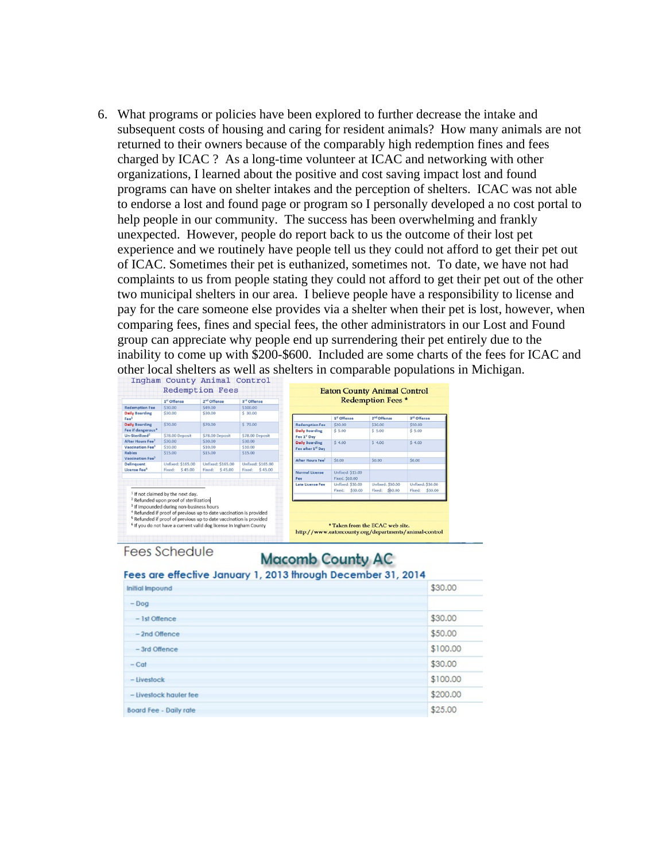6. What programs or policies have been explored to further decrease the intake and subsequent costs of housing and caring for resident animals? How many animals are not returned to their owners because of the comparably high redemption fines and fees charged by ICAC ? As a long-time volunteer at ICAC and networking with other organizations, I learned about the positive and cost saving impact lost and found programs can have on shelter intakes and the perception of shelters. ICAC was not able to endorse a lost and found page or program so I personally developed a no cost portal to help people in our community. The success has been overwhelming and frankly unexpected. However, people do report back to us the outcome of their lost pet experience and we routinely have people tell us they could not afford to get their pet out of ICAC. Sometimes their pet is euthanized, sometimes not. To date, we have not had complaints to us from people stating they could not afford to get their pet out of the other two municipal shelters in our area. I believe people have a responsibility to license and pay for the care someone else provides via a shelter when their pet is lost, however, when comparing fees, fines and special fees, the other administrators in our Lost and Found group can appreciate why people end up surrendering their pet entirely due to the inability to come up with \$200-\$600. Included are some charts of the fees for ICAC and other local shelters as well as shelters in comparable populations in Michigan.

|                                               | 1st Offense                                                                                                                                              | 2 <sup>nd</sup> Offense                                                                                                                                                                                                                        | 3 <sup>rd</sup> Offense  | <b>Redemption Fees*</b>       |                                                       |                                           |                                              |
|-----------------------------------------------|----------------------------------------------------------------------------------------------------------------------------------------------------------|------------------------------------------------------------------------------------------------------------------------------------------------------------------------------------------------------------------------------------------------|--------------------------|-------------------------------|-------------------------------------------------------|-------------------------------------------|----------------------------------------------|
| <b>Redemption Fee</b>                         | \$30.00                                                                                                                                                  | \$49.00                                                                                                                                                                                                                                        | \$100.00                 |                               |                                                       |                                           |                                              |
| <b>Daily Boarding</b><br>Fe <sup>1</sup>      | \$30.00                                                                                                                                                  | \$30,00                                                                                                                                                                                                                                        | \$ 30.00                 |                               | 1 <sup>st</sup> Offense                               | 2 <sup>nd</sup> Offense                   | 3 <sup>rd</sup> Offense                      |
| <b>Daily Boarding</b>                         | \$70.00                                                                                                                                                  | \$70.00                                                                                                                                                                                                                                        | \$70.00                  | <b>Redemption Fee</b>         | \$20.00                                               | \$30.00                                   | \$50.00                                      |
| Fee if dangerous*                             |                                                                                                                                                          |                                                                                                                                                                                                                                                |                          | <b>Daily Boarding</b>         | \$5.00                                                | \$5.00                                    | \$5.00                                       |
| Un-Sterilized <sup>2</sup>                    | \$78.00 Deposit                                                                                                                                          | \$78.00 Deposit                                                                                                                                                                                                                                | \$78.00 Deposit          | Fee 1 <sup>st</sup> Day       |                                                       |                                           |                                              |
| After Hours Fee <sup>3</sup>                  | \$30.00                                                                                                                                                  | \$30.00                                                                                                                                                                                                                                        | \$30.00                  | <b>Daily Boarding</b>         | \$4.00                                                | \$4.00                                    | \$4.00                                       |
| <b>Vaccination Fee<sup>4</sup></b>            | \$10.00                                                                                                                                                  | \$10.00                                                                                                                                                                                                                                        | \$10.00                  | Fee after 1 <sup>st</sup> Day |                                                       |                                           |                                              |
| <b>Rabies</b><br>Vaccination Fee <sup>5</sup> | \$15.00                                                                                                                                                  | \$15.00                                                                                                                                                                                                                                        | \$15.00                  | After Hours Fee <sup>1</sup>  | \$0.00                                                | \$0.00                                    | \$0.00                                       |
| <b>Delinquent</b>                             | <b>Unfixed: \$165.00</b>                                                                                                                                 | <b>Unfixed: \$165.00</b>                                                                                                                                                                                                                       | <b>Unfixed: \$165.00</b> |                               |                                                       |                                           |                                              |
| License Fee <sup>6</sup>                      | \$45.00<br>Fixed:                                                                                                                                        | \$45.00<br>Fixed:                                                                                                                                                                                                                              | \$45.00<br>Fixed:        | Normal License<br>Fee         | <b>Unfixed: \$15.00</b><br>Fixed: \$10.00             |                                           |                                              |
|                                               |                                                                                                                                                          |                                                                                                                                                                                                                                                |                          | Late License Fee              | Unfixed: \$30.00<br>\$30.00<br>Fixed:                 | <b>Unfixed: \$30.00</b><br>Fixed: \$80.00 | <b>Unfixed: \$30.00</b><br>\$30.00<br>Fixed: |
|                                               | <sup>1</sup> If not claimed by the next day.<br><sup>2</sup> Refunded upon proof of sterilization<br><sup>3</sup> If impounded during non-business hours | <sup>4</sup> Refunded if proof of previous up to date vaccination is provided<br><sup>5</sup> Refunded if proof of previous up to date vaccination is provided<br><sup>6</sup> If you do not have a current valid dog license in Ingham County |                          |                               | http://www.eatoncounty.org/departments/animal-control | * Taken from the ECAC web site.           |                                              |

#### **Fees Schedule**

## **Macomb County AC**

Fees are effective January 1, 2013 through December 31, 2014

| Initial Impound               | \$30.00  |
|-------------------------------|----------|
| $-$ Dog                       |          |
| $-$ 1st Offence               | \$30.00  |
| -2nd Offence                  | \$50.00  |
| - 3rd Offence                 | \$100.00 |
| $-Cat$                        | \$30.00  |
| - Livestock                   | \$100.00 |
| - Livestock hauler fee        | \$200.00 |
| <b>Board Fee - Daily rate</b> | \$25.00  |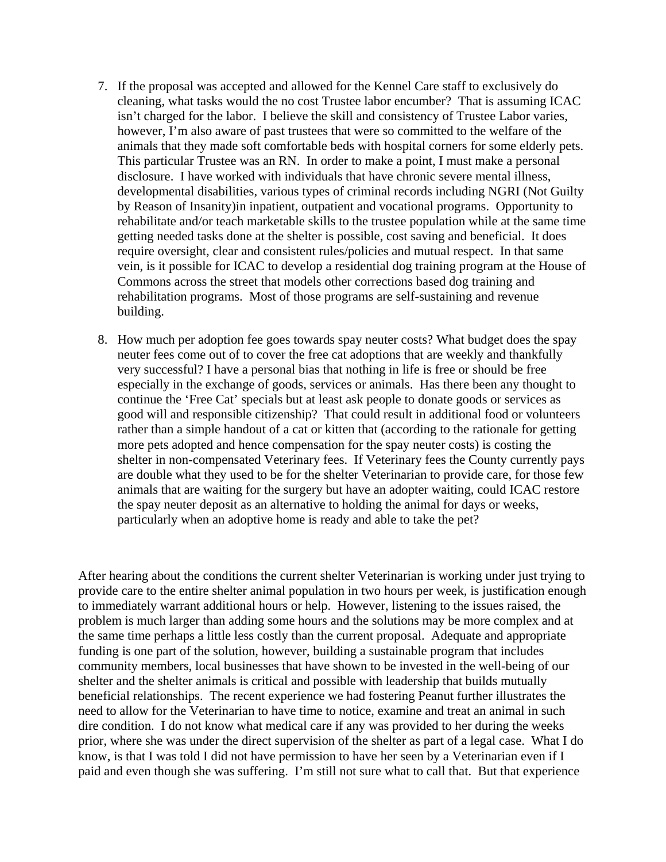- 7. If the proposal was accepted and allowed for the Kennel Care staff to exclusively do cleaning, what tasks would the no cost Trustee labor encumber? That is assuming ICAC isn't charged for the labor. I believe the skill and consistency of Trustee Labor varies, however, I'm also aware of past trustees that were so committed to the welfare of the animals that they made soft comfortable beds with hospital corners for some elderly pets. This particular Trustee was an RN. In order to make a point, I must make a personal disclosure. I have worked with individuals that have chronic severe mental illness, developmental disabilities, various types of criminal records including NGRI (Not Guilty by Reason of Insanity)in inpatient, outpatient and vocational programs. Opportunity to rehabilitate and/or teach marketable skills to the trustee population while at the same time getting needed tasks done at the shelter is possible, cost saving and beneficial. It does require oversight, clear and consistent rules/policies and mutual respect. In that same vein, is it possible for ICAC to develop a residential dog training program at the House of Commons across the street that models other corrections based dog training and rehabilitation programs. Most of those programs are self-sustaining and revenue building.
- 8. How much per adoption fee goes towards spay neuter costs? What budget does the spay neuter fees come out of to cover the free cat adoptions that are weekly and thankfully very successful? I have a personal bias that nothing in life is free or should be free especially in the exchange of goods, services or animals. Has there been any thought to continue the 'Free Cat' specials but at least ask people to donate goods or services as good will and responsible citizenship? That could result in additional food or volunteers rather than a simple handout of a cat or kitten that (according to the rationale for getting more pets adopted and hence compensation for the spay neuter costs) is costing the shelter in non-compensated Veterinary fees. If Veterinary fees the County currently pays are double what they used to be for the shelter Veterinarian to provide care, for those few animals that are waiting for the surgery but have an adopter waiting, could ICAC restore the spay neuter deposit as an alternative to holding the animal for days or weeks, particularly when an adoptive home is ready and able to take the pet?

After hearing about the conditions the current shelter Veterinarian is working under just trying to provide care to the entire shelter animal population in two hours per week, is justification enough to immediately warrant additional hours or help. However, listening to the issues raised, the problem is much larger than adding some hours and the solutions may be more complex and at the same time perhaps a little less costly than the current proposal. Adequate and appropriate funding is one part of the solution, however, building a sustainable program that includes community members, local businesses that have shown to be invested in the well-being of our shelter and the shelter animals is critical and possible with leadership that builds mutually beneficial relationships. The recent experience we had fostering Peanut further illustrates the need to allow for the Veterinarian to have time to notice, examine and treat an animal in such dire condition. I do not know what medical care if any was provided to her during the weeks prior, where she was under the direct supervision of the shelter as part of a legal case. What I do know, is that I was told I did not have permission to have her seen by a Veterinarian even if I paid and even though she was suffering. I'm still not sure what to call that. But that experience